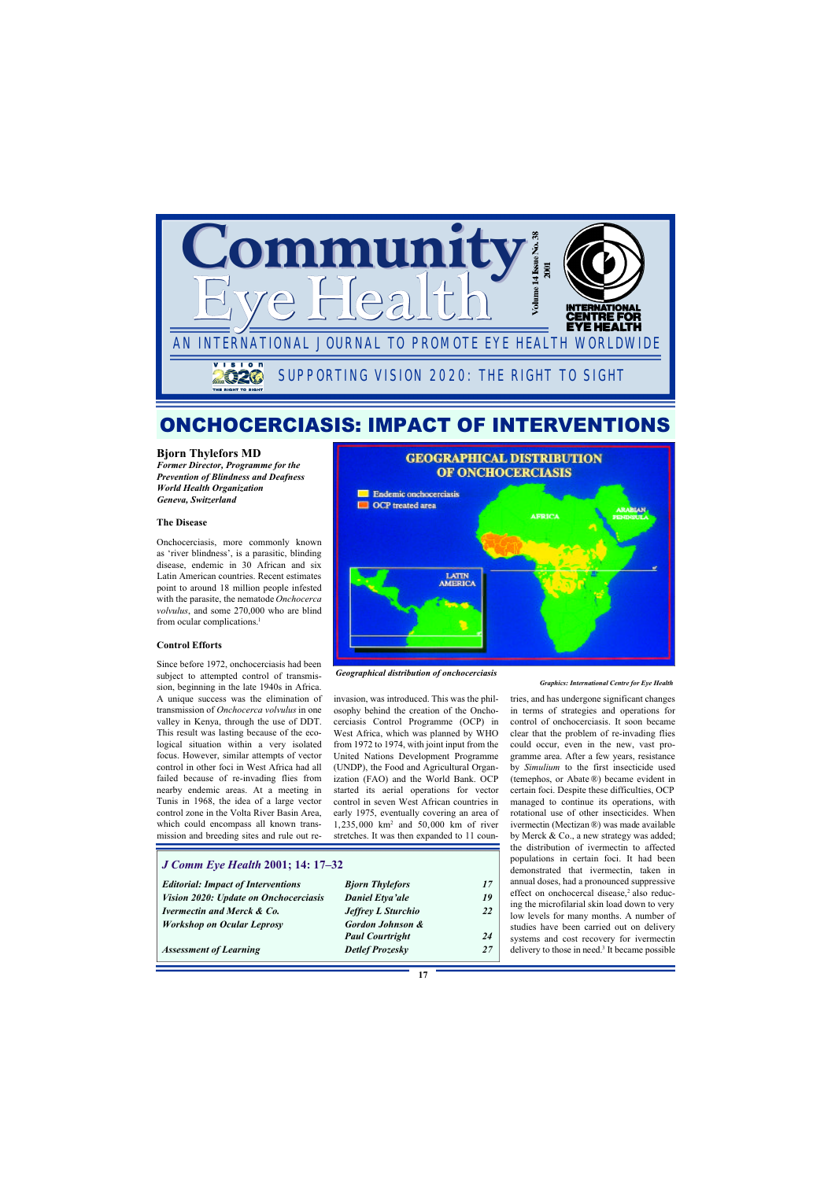

## ONCHOCERCIASIS: IMPACT OF INTERVENTIONS

#### **Bjorn Thylefors MD**

*Former Director, Programme for the Prevention of Blindness and Deafness World Health Organization Geneva, Switzerland*

#### **The Disease**

Onchocerciasis, more commonly known as 'river blindness', is a parasitic, blinding disease, endemic in 30 African and six Latin American countries. Recent estimates point to around 18 million people infested with the parasite, the nematode *Onchocerca volvulus*, and some 270,000 who are blind from ocular complications.<sup>1</sup>

#### **Control Efforts**

Since before 1972, onchocerciasis had been subject to attempted control of transmission, beginning in the late 1940s in Africa. A unique success was the elimination of transmission of *Onchocerca volvulus* in one valley in Kenya, through the use of DDT. This result was lasting because of the ecological situation within a very isolated focus. However, similar attempts of vector control in other foci in West Africa had all failed because of re-invading flies from nearby endemic areas. At a meeting in Tunis in 1968, the idea of a large vector control zone in the Volta River Basin Area, which could encompass all known transmission and breeding sites and rule out re-

#### *J Comm Eye Health* **2001; 14: 17–32**

| <b>Editorial: Impact of Interventions</b> | <b>Bjorn Thylefors</b>      | 17 |
|-------------------------------------------|-----------------------------|----|
| Vision 2020: Update on Onchocerciasis     | <b>Daniel Etya'ale</b>      | 19 |
| <b>Ivermectin and Merck &amp; Co.</b>     | <b>Jeffrey L Sturchio</b>   | 22 |
| <b>Workshop on Ocular Leprosy</b>         | <b>Gordon Johnson &amp;</b> |    |
|                                           | <b>Paul Courtright</b>      | 24 |
| <b>Assessment of Learning</b>             | Detlef Prozesky             | 27 |
|                                           |                             |    |



*Geographical distribution of onchocerciasis*

invasion, was introduced. This was the philosophy behind the creation of the Onchocerciasis Control Programme (OCP) in West Africa, which was planned by WHO from 1972 to 1974, with joint input from the United Nations Development Programme (UNDP), the Food and Agricultural Organization (FAO) and the World Bank. OCP started its aerial operations for vector control in seven West African countries in early 1975, eventually covering an area of 1,235,000 km<sup>2</sup> and 50,000 km of river stretches. It was then expanded to 11 coun-

#### *Graphics: International Centre for Eye Health*

tries, and has undergone significant changes in terms of strategies and operations for control of onchocerciasis. It soon became clear that the problem of re-invading flies could occur, even in the new, vast programme area. After a few years, resistance by *Simulium* to the first insecticide used (temephos, or Abate ®) became evident in certain foci. Despite these difficulties, OCP managed to continue its operations, with rotational use of other insecticides. When ivermectin (Mectizan ®) was made available by Merck & Co., a new strategy was added; the distribution of ivermectin to affected populations in certain foci. It had been demonstrated that ivermectin, taken in annual doses, had a pronounced suppressive effect on onchocercal disease,<sup>2</sup> also reducing the microfilarial skin load down to very low levels for many months. A number of studies have been carried out on delivery systems and cost recovery for ivermectin delivery to those in need.<sup>3</sup> It became possible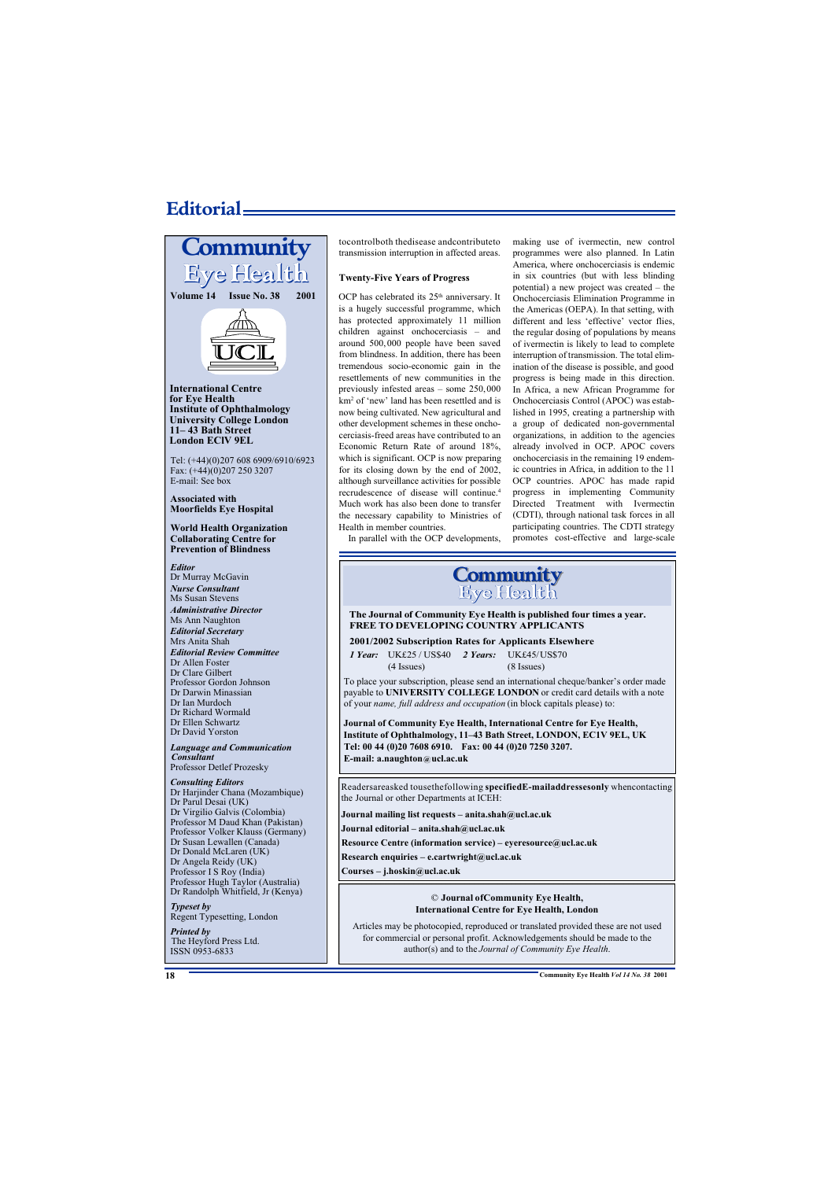# **Editorial-**



The Heyford Press Ltd. ISSN 0953-6833

tocontrolboth thedisease andcontributeto transmission interruption in affected areas.

#### **Twenty-Five Years of Progress**

OCP has celebrated its 25<sup>th</sup> anniversary. It is a hugely successful programme, which has protected approximately 11 million children against onchocerciasis – and around 500, 000 people have been saved from blindness. In addition, there has been tremendous socio-economic gain in the resettlements of new communities in the previously infested areas – some 250,000 km<sup>2</sup> of 'new' land has been resettled and is now being cultivated. New agricultural and other development schemes in these onchocerciasis-freed areas have contributed to an Economic Return Rate of around 18%, which is significant. OCP is now preparing for its closing down by the end of 2002, although surveillance activities for possible recrudescence of disease will continue.<sup>4</sup> Much work has also been done to transfer the necessary capability to Ministries of Health in member countries.

making use of ivermectin, new control programmes were also planned. In Latin America, where onchocerciasis is endemic in six countries (but with less blinding potential) a new project was created – the Onchocerciasis Elimination Programme in the Americas (OEPA). In that setting, with different and less 'effective' vector flies, the regular dosing of populations by means of ivermectin is likely to lead to complete interruption of transmission. The total elimination of the disease is possible, and good progress is being made in this direction. In Africa, a new African Programme for Onchocerciasis Control (APOC) was established in 1995, creating a partnership with a group of dedicated non-governmental organizations, in addition to the agencies already involved in OCP. APOC covers onchocerciasis in the remaining 19 endemic countries in Africa, in addition to the 11 OCP countries. APOC has made rapid progress in implementing Community Directed Treatment with Ivermectin (CDTI), through national task forces in all participating countries. The CDTI strategy promotes cost-effective and large-scale

In parallel with the OCP developments,



**The Journal of Community Eye Health is published four times a year. FREE TO DEVELOPING COUNTRY APPLICANTS**

#### **2001/2002 Subscription Rates for Applicants Elsewhere**

*1 Year:* UK£25 / US\$40 *2 Years:* UK£45/US\$70 (4 Issues) (8 Issues)

To place your subscription, please send an international cheque/banker's order made payable to **UNIVERSITY COLLEGE LONDON** or credit card details with a note of your *name, full address and occupation* (in block capitals please) to:

**Journal of Community Eye Health, International Centre for Eye Health, Institute of Ophthalmology, 11–43 Bath Street, LONDON, EC1V 9EL, UK Tel: 00 44 (0)20 7608 6910. Fax: 00 44 (0)20 7250 3207. E-mail: a.naughton@ucl.ac.uk**

Readersareasked tousethefollowing **specifiedE-mailaddressesonly** whencontacting the Journal or other Departments at ICEH:

**Journal mailing list requests – anita.shah@ucl.ac.uk**

**Journal editorial – anita.shah@ucl.ac.uk**

**Resource Centre (information service) – eyeresource@ucl.ac.uk**

**Research enquiries – e.cartwright@ucl.ac.uk**

**Courses – j.hoskin@ucl.ac.uk**

#### © **Journal ofCommunity Eye Health, International Centre for Eye Health, London**

Articles may be photocopied, reproduced or translated provided these are not used for commercial or personal profit. Acknowledgements should be made to the author(s) and to the *Journal of Community Eye Health*.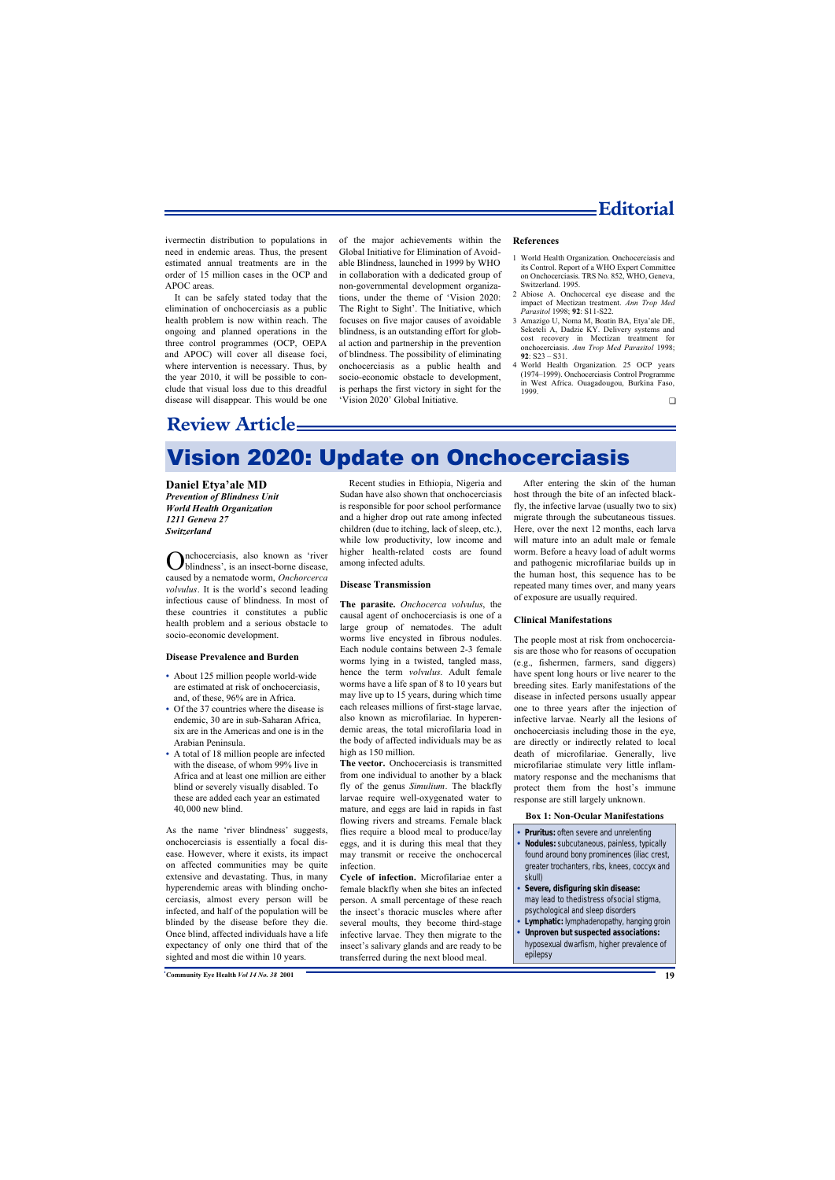

ivermectin distribution to populations in need in endemic areas. Thus, the present estimated annual treatments are in the order of 15 million cases in the OCP and APOC areas.

It can be safely stated today that the elimination of onchocerciasis as a public health problem is now within reach. The ongoing and planned operations in the three control programmes (OCP, OEPA and APOC) will cover all disease foci, where intervention is necessary. Thus, by the year 2010, it will be possible to conclude that visual loss due to this dreadful disease will disappear. This would be one

of the major achievements within the Global Initiative for Elimination of Avoidable Blindness, launched in 1999 by WHO in collaboration with a dedicated group of non-governmental development organizations, under the theme of 'Vision 2020: The Right to Sight'. The Initiative, which focuses on five major causes of avoidable blindness, is an outstanding effort for global action and partnership in the prevention of blindness. The possibility of eliminating onchocerciasis as a public health and socio-economic obstacle to development, is perhaps the first victory in sight for the 'Vision 2020' Global Initiative.

#### **References**

- 1 World Health Organization. Onchocerciasis and its Control. Report of a WHO Expert Committee on Onchocerciasis. TRS No. 852, WHO, Geneva, Switzerland. 1995.
- 2 Abiose A. Onchocercal eye disease and the impact of Mectizan treatment. *Ann Trop Med Parasitol* 1998; **92**: S11-S22.
- 3 Amazigo U, Noma M, Boatin BA, Etya'ale DE, Seketeli A, Dadzie KY. Delivery systems and cost recovery in Mectizan treatment for onchocerciasis. *Ann Trop Med Parasitol* 1998; **92**: S23 – S31.
- 4 World Health Organization. 25 OCP years (1974–1999). Onchocerciasis Control Programme in West Africa. Ouagadougou, Burkina Faso, 1999.

 $\Box$ 

# **Review Article**

# Vision 2020: Update on Onchocerciasis

#### **Daniel Etya'ale MD**

*Prevention of Blindness Unit World Health Organization 1211 Geneva 27 Switzerland*

O blindness', is an insect-borne disease, nchocerciasis, also known as 'river caused by a nematode worm, *Onchorcerca volvulus*. It is the world's second leading infectious cause of blindness. In most of these countries it constitutes a public health problem and a serious obstacle to socio-economic development.

#### **Disease Prevalence and Burden**

- **•** About 125 million people world-wide are estimated at risk of onchocerciasis, and, of these, 96% are in Africa.
- **•** Of the 37 countries where the disease is endemic, 30 are in sub-Saharan Africa, six are in the Americas and one is in the Arabian Peninsula.
- **•** A total of 18 million people are infected with the disease, of whom 99% live in Africa and at least one million are either blind or severely visually disabled. To these are added each year an estimated 40, 000 new blind.

As the name 'river blindness' suggests, onchocerciasis is essentially a focal disease. However, where it exists, its impact on affected communities may be quite extensive and devastating. Thus, in many hyperendemic areas with blinding onchocerciasis, almost every person will be infected, and half of the population will be blinded by the disease before they die. Once blind, affected individuals have a life expectancy of only one third that of the sighted and most die within 10 years.

Recent studies in Ethiopia, Nigeria and Sudan have also shown that onchocerciasis is responsible for poor school performance and a higher drop out rate among infected children (due to itching, lack of sleep, etc.), while low productivity, low income and higher health-related costs are found among infected adults.

#### **Disease Transmission**

**The parasite.** *Onchocerca volvulus*, the causal agent of onchocerciasis is one of a large group of nematodes. The adult worms live encysted in fibrous nodules. Each nodule contains between 2-3 female worms lying in a twisted, tangled mass, hence the term *volvulus*. Adult female worms have a life span of 8 to 10 years but may live up to 15 years, during which time each releases millions of first-stage larvae, also known as microfilariae. In hyperendemic areas, the total microfilaria load in the body of affected individuals may be as high as 150 million.

**The vector.** Onchocerciasis is transmitted from one individual to another by a black fly of the genus *Simulium*. The blackfly larvae require well-oxygenated water to mature, and eggs are laid in rapids in fast flowing rivers and streams. Female black flies require a blood meal to produce/lay eggs, and it is during this meal that they may transmit or receive the onchocercal infection.

**Cycle of infection.** Microfilariae enter a female blackfly when she bites an infected person. A small percentage of these reach the insect's thoracic muscles where after several moults, they become third-stage infective larvae. They then migrate to the insect's salivary glands and are ready to be transferred during the next blood meal.

After entering the skin of the human host through the bite of an infected blackfly, the infective larvae (usually two to six) migrate through the subcutaneous tissues. Here, over the next 12 months, each larva will mature into an adult male or female worm. Before a heavy load of adult worms and pathogenic microfilariae builds up in the human host, this sequence has to be repeated many times over, and many years of exposure are usually required.

#### **Clinical Manifestations**

The people most at risk from onchocerciasis are those who for reasons of occupation (e.g., fishermen, farmers, sand diggers) have spent long hours or live nearer to the breeding sites. Early manifestations of the disease in infected persons usually appear one to three years after the injection of infective larvae. Nearly all the lesions of onchocerciasis including those in the eye, are directly or indirectly related to local death of microfilariae. Generally, live microfilariae stimulate very little inflammatory response and the mechanisms that protect them from the host's immune response are still largely unknown.

#### **Box 1: Non-Ocular Manifestations**

- **• Pruritus:** often severe and unrelenting
- **• Nodules:** subcutaneous, painless, typically found around bony prominences (iliac crest, greater trochanters, ribs, knees, coccyx and skull)
- **• Severe, disfiguring skin disease:** may lead to thedistress ofsocial stigma, psychological and sleep disorders
- Lymphatic: lymphadenopathy, hanging groin
- **• Unproven but suspected associations:** hyposexual dwarfism, higher prevalence of epilepsy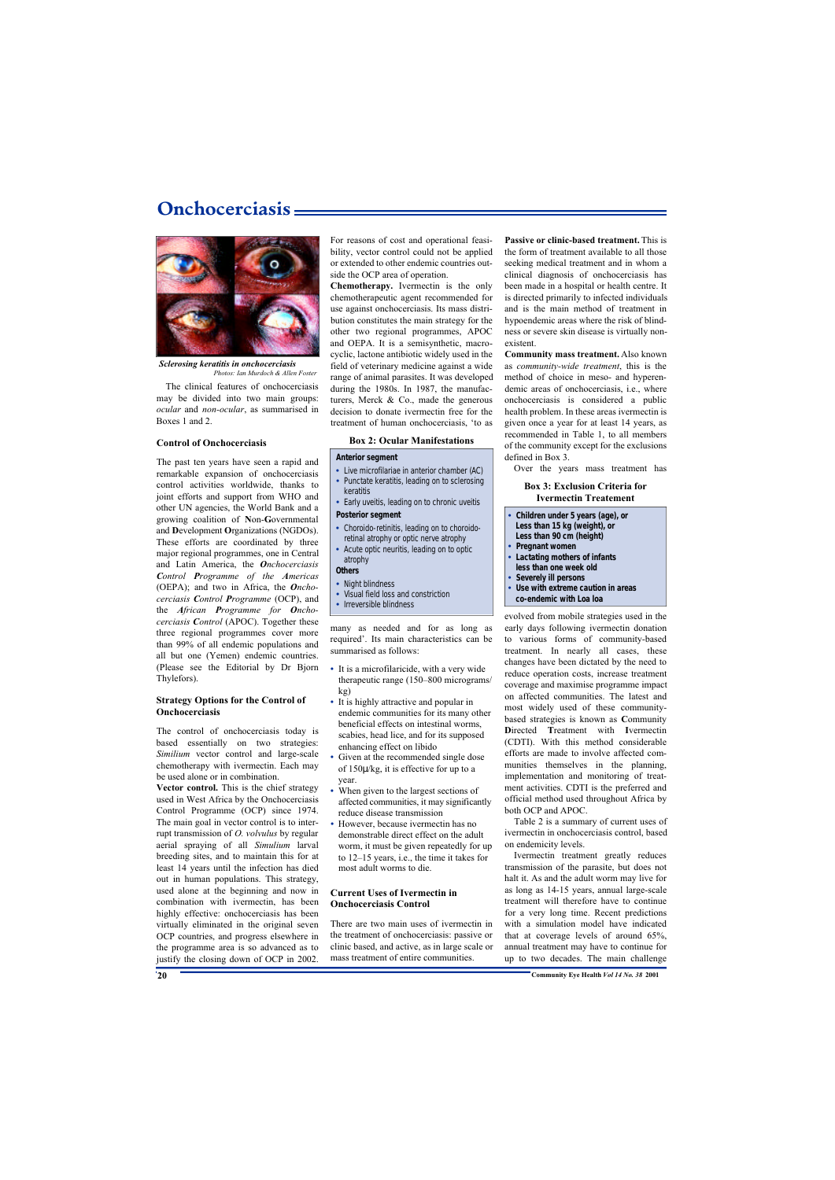### **Onchocerciasis**



*Sclerosing keratitis in onchocerciasis Photos: Ian Murdoch & Allen Foster*

The clinical features of onchocerciasis may be divided into two main groups: *ocular* and *non-ocular*, as summarised in Boxes 1 and 2.

#### **Control of Onchocerciasis**

The past ten years have seen a rapid and remarkable expansion of onchocerciasis control activities worldwide, thanks to joint efforts and support from WHO and other UN agencies, the World Bank and a growing coalition of **N**on-**G**overnmental and **D**evelopment **O**rganizations (NGDOs). These efforts are coordinated by three major regional programmes, one in Central and Latin America, the *Onchocerciasis Control Programme of the Americas* (OEPA); and two in Africa, the *Onchocerciasis Control Programme* (OCP), and the *African Programme for Onchocerciasis Control* (APOC). Together these three regional programmes cover more than 99% of all endemic populations and all but one (Yemen) endemic countries. (Please see the Editorial by Dr Bjorn Thylefors).

#### **Strategy Options for the Control of Onchocerciasis**

The control of onchocerciasis today is based essentially on two strategies: *Similium* vector control and large-scale chemotherapy with ivermectin. Each may be used alone or in combination.

**Vector control.** This is the chief strategy used in West Africa by the Onchocerciasis Control Programme (OCP) since 1974. The main goal in vector control is to interrupt transmission of *O. volvulus* by regular aerial spraying of all *Simulium* larval breeding sites, and to maintain this for at least 14 years until the infection has died out in human populations. This strategy, used alone at the beginning and now in combination with ivermectin, has been highly effective: onchocerciasis has been virtually eliminated in the original seven OCP countries, and progress elsewhere in the programme area is so advanced as to justify the closing down of OCP in 2002.

For reasons of cost and operational feasibility, vector control could not be applied or extended to other endemic countries outside the OCP area of operation.

**Chemotherapy.** Ivermectin is the only chemotherapeutic agent recommended for use against onchocerciasis. Its mass distribution constitutes the main strategy for the other two regional programmes, APOC and OEPA. It is a semisynthetic, macrocyclic, lactone antibiotic widely used in the field of veterinary medicine against a wide range of animal parasites. It was developed during the 1980s. In 1987, the manufacturers, Merck  $& Co.,$  made the generous decision to donate ivermectin free for the treatment of human onchocerciasis, 'to as

#### **Box 2: Ocular Manifestations**

#### **Anterior segment**

- **•** Live microfilariae in anterior chamber (AC)
- **•** Punctate keratitis, leading on to sclerosing keratitis
- **•** Early uveitis, leading on to chronic uveitis

#### **Posterior segment**

- **•** Choroido-retinitis, leading on to choroidoretinal atrophy or optic nerve atrophy
- **•** Acute optic neuritis, leading on to optic atrophy

#### **Others**

- **•** Night blindness
- **•** Visual field loss and constriction
- **•** Irreversible blindness

many as needed and for as long as required'. Its main characteristics can be summarised as follows:

- **•** It is a microfilaricide, with a very wide therapeutic range (150–800 micrograms/ kg)
- **•** It is highly attractive and popular in endemic communities for its many other beneficial effects on intestinal worms, scabies, head lice, and for its supposed enhancing effect on libido
- Given at the recommended single dose of 150μ/kg, it is effective for up to a year.
- **•** When given to the largest sections of affected communities, it may significantly reduce disease transmission
- **•** However, because ivermectin has no demonstrable direct effect on the adult worm, it must be given repeatedly for up to 12–15 years, i.e., the time it takes for most adult worms to die.

#### **Current Uses of Ivermectin in Onchocerciasis Control**

There are two main uses of ivermectin in the treatment of onchocerciasis: passive or clinic based, and active, as in large scale or mass treatment of entire communities.

**Passive or clinic-based treatment.** This is the form of treatment available to all those seeking medical treatment and in whom a clinical diagnosis of onchocerciasis has been made in a hospital or health centre. It is directed primarily to infected individuals and is the main method of treatment in hypoendemic areas where the risk of blindness or severe skin disease is virtually nonexistent.

**Community mass treatment.** Also known as *community-wide treatment*, this is the method of choice in meso- and hyperendemic areas of onchocerciasis, i.e., where onchocerciasis is considered a public health problem. In these areas ivermectin is given once a year for at least 14 years, as recommended in Table 1, to all members of the community except for the exclusions defined in Box 3.

Over the years mass treatment has

#### **Box 3: Exclusion Criteria for Ivermectin Treatement**

| • Children under 5 years (age), or  |
|-------------------------------------|
| Less than 15 kg (weight), or        |
| Less than 90 cm (height)            |
| • Pregnant women                    |
| • Lactating mothers of infants      |
| less than one week old              |
| • Severely ill persons              |
| • Use with extreme caution in areas |
| co-endemic with Loa loa             |

evolved from mobile strategies used in the early days following ivermectin donation to various forms of community-based treatment. In nearly all cases, these changes have been dictated by the need to reduce operation costs, increase treatment coverage and maximise programme impact on affected communities. The latest and most widely used of these communitybased strategies is known as **C**ommunity **D**irected **T**reatment with **I**vermectin (CDTI). With this method considerable efforts are made to involve affected communities themselves in the planning, implementation and monitoring of treatment activities. CDTI is the preferred and official method used throughout Africa by both OCP and APOC.

Table 2 is a summary of current uses of ivermectin in onchocerciasis control, based on endemicity levels.

Ivermectin treatment greatly reduces transmission of the parasite, but does not halt it. As and the adult worm may live for as long as 14-15 years, annual large-scale treatment will therefore have to continue for a very long time. Recent predictions with a simulation model have indicated that at coverage levels of around 65%, annual treatment may have to continue for up to two decades. The main challenge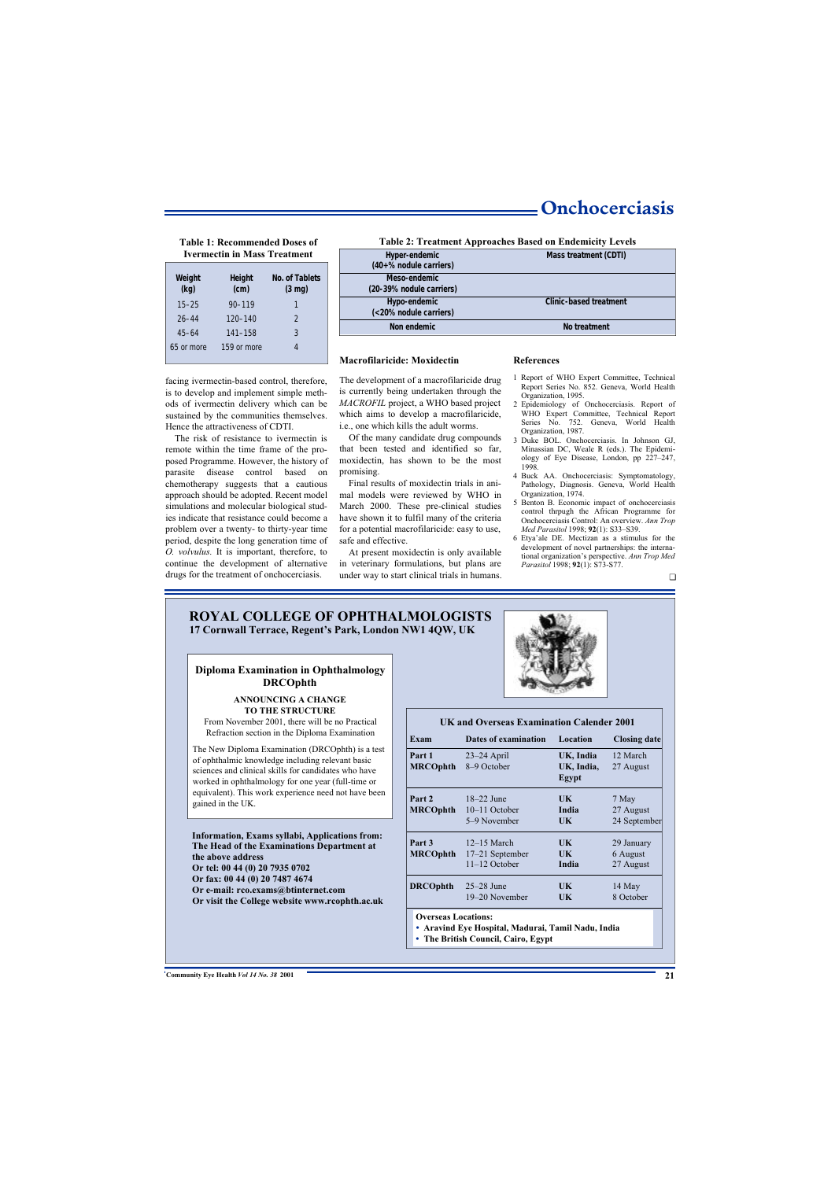### **Onchocerciasis**

# **Table 1: Recommended Doses of**

| Weight<br>(kg) | <b>Height</b><br>(cm) | No. of Tablets<br>$(3 \text{ mg})$ |
|----------------|-----------------------|------------------------------------|
| $15 - 25$      | $90 - 119$            | 1                                  |
| $26 - 44$      | 120-140               | $\mathcal{P}$                      |
| $45 - 64$      | $141 - 158$           | 3                                  |
| 65 or more     | 159 or more           | 4                                  |

facing ivermectin-based control, therefore, is to develop and implement simple methods of ivermectin delivery which can be sustained by the communities themselves. Hence the attractiveness of CDTI.

The risk of resistance to ivermectin is remote within the time frame of the proposed Programme. However, the history of parasite disease control based on chemotherapy suggests that a cautious approach should be adopted. Recent model simulations and molecular biological studies indicate that resistance could become a problem over a twenty- to thirty-year time period, despite the long generation time of *O. volvulus.* It is important, therefore, to continue the development of alternative drugs for the treatment of onchocerciasis.

#### **Ivermectin in Mass Treatment Hyper-endemic Hyper-endemic Mass treatment (CDTI) (40+% nodule carriers) Meso-endemic (20-39% nodule carriers) Hypo-endemic Clinic-based treatment (<20% nodule carriers) Non endemic** No treatment **Table 2: Treatment Approaches Based on Endemicity Levels**

#### **Macrofilaricide: Moxidectin**

The development of a macrofilaricide drug is currently being undertaken through the *MACROFIL* project, a WHO based project which aims to develop a macrofilaricide, i.e., one which kills the adult worms.

Of the many candidate drug compounds that been tested and identified so far, moxidectin, has shown to be the most promising.

Final results of moxidectin trials in animal models were reviewed by WHO in March 2000. These pre-clinical studies have shown it to fulfil many of the criteria for a potential macrofilaricide: easy to use, safe and effective.

At present moxidectin is only available in veterinary formulations, but plans are under way to start clinical trials in humans.

#### **References**

- 1 Report of WHO Expert Committee, Technical Report Series No. 852. Geneva, World Health Organization, 1995.
- 2 Epidemiology of Onchocerciasis. Report of WHO Expert Committee, Technical Report Series No. 752. Geneva, World Health Organization, 1987.
- 3 Duke BOL. Onchocerciasis. In Johnson GJ, Minassian DC, Weale R (eds.). The Epidemiology of Eye Disease, London, pp 227–247, 1998.
- 4 Buck AA. Onchocerciasis: Symptomatology, Pathology, Diagnosis. Geneva, World Health Organization, 1974.
- 5 Benton B. Economic impact of onchocerciasis control thrpugh the African Programme for Onchocerciasis Control: An overview. *Ann Trop Med Parasitol* 1998; **92**(1): S33–S39.
- 6 Etya'ale DE. Mectizan as a stimulus for the development of novel partnerships: the international organization's perspective. *Ann Trop Med Parasitol* 1998; **92**(1): S73-S77.

#### **ROYAL COLLEGE OF OPHTHALMOLOGISTS 17 Cornwall Terrace, Regent's Park, London NW1 4QW, UK**

#### **Diploma Examination in Ophthalmology DRCOphth**

#### **ANNOUNCING A CHANGE TO THE STRUCTURE**

From November 2001, there will be no Practical Refraction section in the Diploma Examination

The New Diploma Examination (DRCOphth) is a test of ophthalmic knowledge including relevant basic sciences and clinical skills for candidates who have worked in ophthalmology for one year (full-time or equivalent). This work experience need not have been gained in the UK.

#### **Information, Exams syllabi, Applications from: The Head of the Examinations Department at the above address Or tel: 00 44 (0) 20 7935 0702 Or fax: 00 44 (0) 20 7487 4674 Or e-mail: rco.exams@btinternet.com**

**Or visit the College website www.rcophth.ac.uk**



#### **UK and Overseas Examination Calender 2001**

| Exam                      | Dates of examination                                  | Location                         | <b>Closing date</b>                 |
|---------------------------|-------------------------------------------------------|----------------------------------|-------------------------------------|
| Part 1<br><b>MRCOphth</b> | $23-24$ April<br>8-9 October                          | UK, India<br>UK, India,<br>Egypt | 12 March<br>27 August               |
| Part 2<br><b>MRCOphth</b> | $18-22$ June<br>$10-11$ October<br>5–9 November       | UK.<br>India<br>UK               | 7 May<br>27 August<br>24 September  |
| Part 3<br><b>MRCOphth</b> | $12-15$ March<br>$17-21$ September<br>$11-12$ October | UK<br>UK<br>India                | 29 January<br>6 August<br>27 August |
| <b>DRCOphth</b>           | $25-28$ June<br>19–20 November                        | UK.<br>UK                        | 14 May<br>8 October                 |

**Overseas Locations:**

**• Aravind Eye Hospital, Madurai, Tamil Nadu, India**

**• The British Council, Cairo, Egypt**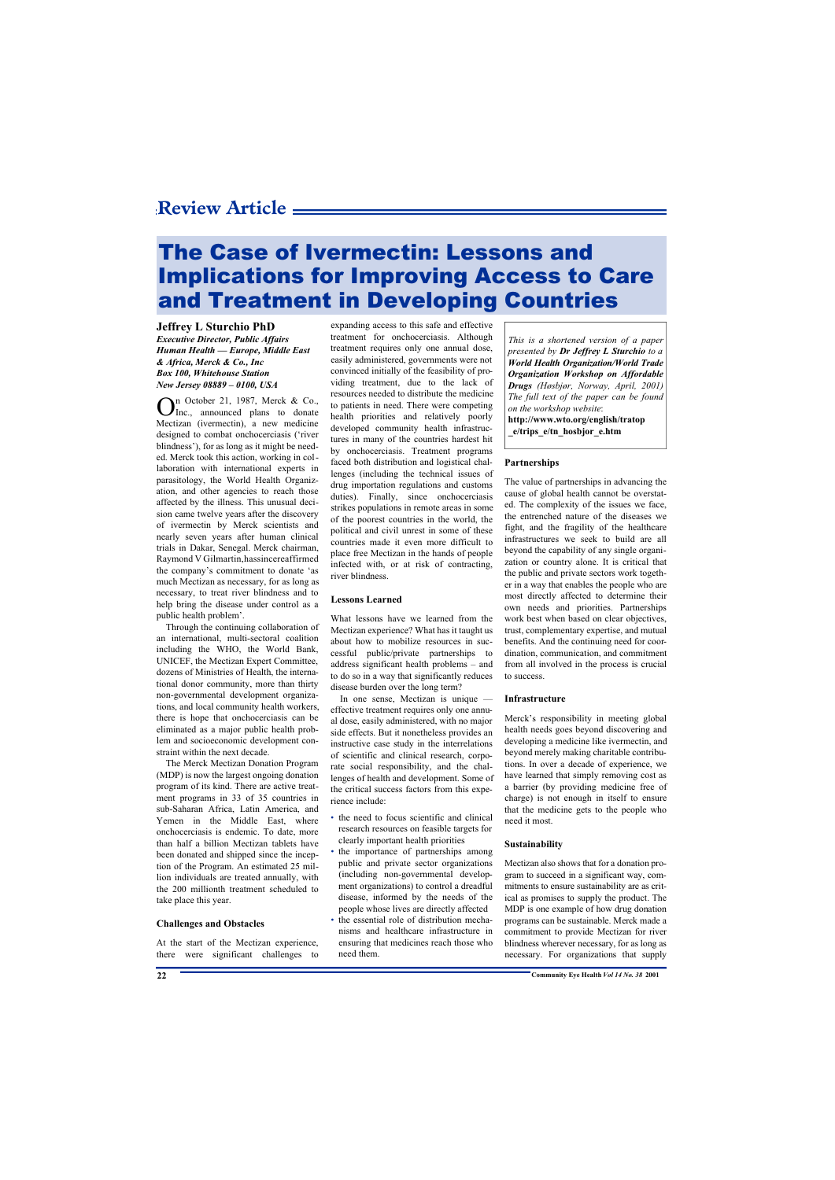# The Case of Ivermectin: Lessons and Implications for Improving Access to Care and Treatment in Developing Countries

#### **Jeffrey L Sturchio PhD**

*Executive Director, Public Affairs Human Health — Europe, Middle East & Africa, Merck & Co., Inc Box 100, Whitehouse Station New Jersey 08889 – 0100, USA*

O n October 21, 1987, Merck & Co., Inc., announced plans to donate Mectizan (ivermectin), a new medicine designed to combat onchocerciasis ('river blindness'), for as long as it might be needed. Merck took this action, working in collaboration with international experts in parasitology, the World Health Organization, and other agencies to reach those affected by the illness. This unusual decision came twelve years after the discovery of ivermectin by Merck scientists and nearly seven years after human clinical trials in Dakar, Senegal. Merck chairman, Raymond V Gilmartin,hassincereaffirmed the company's commitment to donate 'as much Mectizan as necessary, for as long as necessary, to treat river blindness and to help bring the disease under control as a public health problem'.

Through the continuing collaboration of an international, multi-sectoral coalition including the WHO, the World Bank, UNICEF, the Mectizan Expert Committee, dozens of Ministries of Health, the international donor community, more than thirty non-governmental development organizations, and local community health workers, there is hope that onchocerciasis can be eliminated as a major public health problem and socioeconomic development constraint within the next decade.

The Merck Mectizan Donation Program (MDP) is now the largest ongoing donation program of its kind. There are active treatment programs in 33 of 35 countries in sub-Saharan Africa, Latin America, and Yemen in the Middle East, where onchocerciasis is endemic. To date, more than half a billion Mectizan tablets have been donated and shipped since the inception of the Program. An estimated 25 million individuals are treated annually, with the 200 millionth treatment scheduled to take place this year.

#### **Challenges and Obstacles**

At the start of the Mectizan experience, there were significant challenges to expanding access to this safe and effective treatment for onchocerciasis. Although treatment requires only one annual dose, easily administered, governments were not convinced initially of the feasibility of providing treatment, due to the lack of resources needed to distribute the medicine to patients in need. There were competing health priorities and relatively poorly developed community health infrastructures in many of the countries hardest hit by onchocerciasis. Treatment programs faced both distribution and logistical challenges (including the technical issues of drug importation regulations and customs duties). Finally, since onchocerciasis strikes populations in remote areas in some of the poorest countries in the world, the political and civil unrest in some of these countries made it even more difficult to place free Mectizan in the hands of people infected with, or at risk of contracting, river blindness.

#### **Lessons Learned**

What lessons have we learned from the Mectizan experience? What has it taught us about how to mobilize resources in successful public/private partnerships to address significant health problems – and to do so in a way that significantly reduces disease burden over the long term?

In one sense, Mectizan is unique effective treatment requires only one annual dose, easily administered, with no major side effects. But it nonetheless provides an instructive case study in the interrelations of scientific and clinical research, corporate social responsibility, and the challenges of health and development. Some of the critical success factors from this experience include:

- the need to focus scientific and clinical research resources on feasible targets for clearly important health priorities
- the importance of partnerships among public and private sector organizations (including non-governmental development organizations) to control a dreadful disease, informed by the needs of the people whose lives are directly affected
- the essential role of distribution mechanisms and healthcare infrastructure in ensuring that medicines reach those who need them.

*This is a shortened version of a paper presented by Dr Jeffrey L Sturchio to a World Health Organization/World Trade Organization Workshop on Affordable Drugs (Høsbjør, Norway, April, 2001) The full text of the paper can be found on the workshop website*: **http://www.wto.org/english/tratop**

**\_e/trips\_e/tn\_hosbjor\_e.htm**

#### **Partnerships**

The value of partnerships in advancing the cause of global health cannot be overstated. The complexity of the issues we face, the entrenched nature of the diseases we fight, and the fragility of the healthcare infrastructures we seek to build are all beyond the capability of any single organization or country alone. It is critical that the public and private sectors work together in a way that enables the people who are most directly affected to determine their own needs and priorities. Partnerships work best when based on clear objectives, trust, complementary expertise, and mutual benefits. And the continuing need for coordination, communication, and commitment from all involved in the process is crucial to success.

#### **Infrastructure**

Merck's responsibility in meeting global health needs goes beyond discovering and developing a medicine like ivermectin, and beyond merely making charitable contributions. In over a decade of experience, we have learned that simply removing cost as a barrier (by providing medicine free of charge) is not enough in itself to ensure that the medicine gets to the people who need it most.

#### **Sustainability**

Mectizan also shows that for a donation program to succeed in a significant way, commitments to ensure sustainability are as critical as promises to supply the product. The MDP is one example of how drug donation programs can be sustainable. Merck made a commitment to provide Mectizan for river blindness wherever necessary, for as long as necessary. For organizations that supply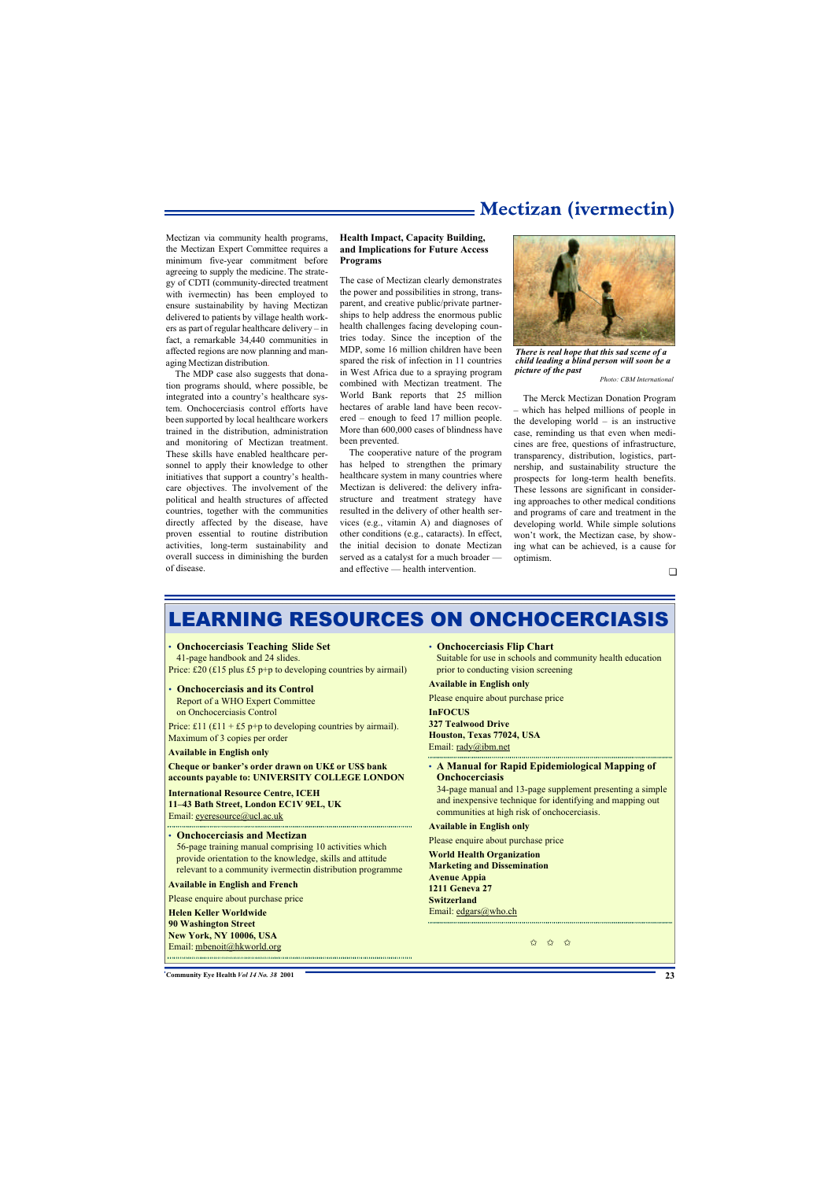### **Mectizan (ivermectin)**

Mectizan via community health programs, the Mectizan Expert Committee requires a minimum five-year commitment before agreeing to supply the medicine. The strategy of CDTI (community-directed treatment with ivermectin) has been employed to ensure sustainability by having Mectizan delivered to patients by village health workers as part of regular healthcare delivery – in fact, a remarkable 34,440 communities in affected regions are now planning and managing Mectizan distribution.

The MDP case also suggests that donation programs should, where possible, be integrated into a country's healthcare system. Onchocerciasis control efforts have been supported by local healthcare workers trained in the distribution, administration and monitoring of Mectizan treatment. These skills have enabled healthcare personnel to apply their knowledge to other initiatives that support a country's healthcare objectives. The involvement of the political and health structures of affected countries, together with the communities directly affected by the disease, have proven essential to routine distribution activities, long-term sustainability and overall success in diminishing the burden of disease.

#### **Health Impact, Capacity Building, and Implications for Future Access Programs**

The case of Mectizan clearly demonstrates the power and possibilities in strong, transparent, and creative public/private partnerships to help address the enormous public health challenges facing developing countries today. Since the inception of the MDP, some 16 million children have been spared the risk of infection in 11 countries in West Africa due to a spraying program combined with Mectizan treatment. The World Bank reports that 25 million hectares of arable land have been recovered – enough to feed 17 million people. More than 600,000 cases of blindness have been prevented.

The cooperative nature of the program has helped to strengthen the primary healthcare system in many countries where Mectizan is delivered: the delivery infrastructure and treatment strategy have resulted in the delivery of other health services (e.g., vitamin A) and diagnoses of other conditions (e.g., cataracts). In effect, the initial decision to donate Mectizan served as a catalyst for a much broader and effective — health intervention.



*There is real hope that this sad scene of a child leading a blind person will soon be a picture of the past*

*Photo: CBM International*

The Merck Mectizan Donation Program – which has helped millions of people in the developing world  $-$  is an instructive case, reminding us that even when medicines are free, questions of infrastructure, transparency, distribution, logistics, partnership, and sustainability structure the prospects for long-term health benefits. These lessons are significant in considering approaches to other medical conditions and programs of care and treatment in the developing world. While simple solutions won't work, the Mectizan case, by showing what can be achieved, is a cause for optimism.

# LEARNING RESOURCES ON ONCHOCERCIASIS

#### • **Onchocerciasis Teaching Slide Set**

41-page handbook and 24 slides. Price: £20 (£15 plus £5 p+p to developing countries by airmail)

• **Onchocerciasis and its Control**

Report of a WHO Expert Committee on Onchocerciasis Control

Price: £11 (£11 + £5 p+p to developing countries by airmail). Maximum of 3 copies per order

#### **Available in English only**

#### **Cheque or banker's order drawn on UK£ or US\$ bank accounts payable to: UNIVERSITY COLLEGE LONDON**

**International Resource Centre, ICEH 11–43 Bath Street, London EC1V 9EL, UK** Email: eyeresource@ucl.ac.uk

#### • **Onchocerciasis and Mectizan**

56-page training manual comprising 10 activities which provide orientation to the knowledge, skills and attitude relevant to a community ivermectin distribution programme

#### **Available in English and French**

Please enquire about purchase price

**Helen Keller Worldwide 90 Washington Street New York, NY 10006, USA** Email: mbenoit@hkworld.org  • **Onchocerciasis Flip Chart**

Suitable for use in schools and community health education prior to conducting vision screening

#### **Available in English only**

Please enquire about purchase price

**InFOCUS**

#### **327 Tealwood Drive**

**Houston, Texas 77024, USA** Email: rady@ibm.net

#### • **A Manual for Rapid Epidemiological Mapping of Onchocerciasis**

34-page manual and 13-page supplement presenting a simple and inexpensive technique for identifying and mapping out communities at high risk of onchocerciasis.

#### **Available in English only**

Please enquire about purchase price

**World Health Organization Marketing and Dissemination Avenue Appia 1211 Geneva 27 Switzerland** Email: edgars@who.ch 

✩ ✩ ✩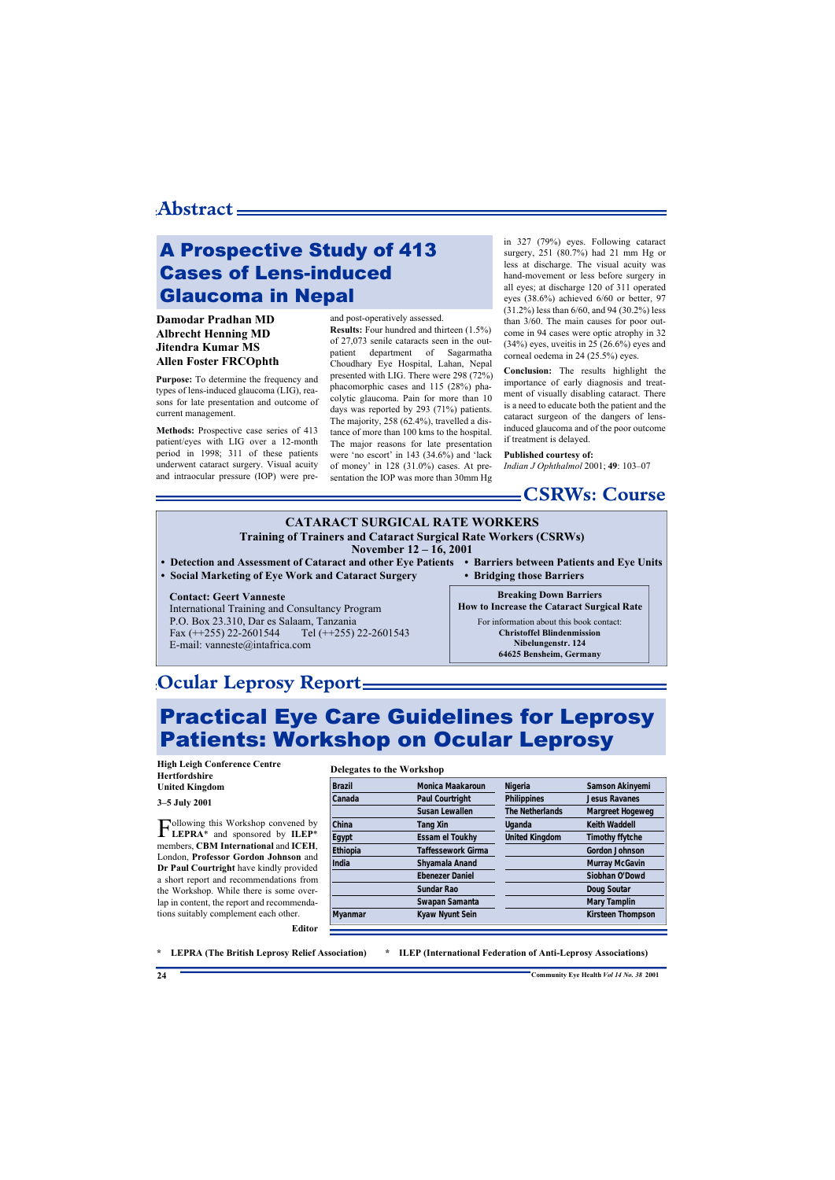# A Prospective Study of 413 Cases of Lens-induced Glaucoma in Nepal

#### **Damodar Pradhan MD Albrecht Henning MD Jitendra Kumar MS Allen Foster FRCOphth**

**Purpose:** To determine the frequency and types of lens-induced glaucoma (LIG), reasons for late presentation and outcome of current management.

**Methods:** Prospective case series of 413 patient/eyes with LIG over a 12-month period in 1998; 311 of these patients underwent cataract surgery. Visual acuity and intraocular pressure (IOP) were preand post-operatively assessed.

**Results:** Four hundred and thirteen (1.5%) of 27,073 senile cataracts seen in the outpatient department of Sagarmatha Choudhary Eye Hospital, Lahan, Nepal presented with LIG. There were 298 (72%) phacomorphic cases and 115 (28%) phacolytic glaucoma. Pain for more than 10 days was reported by 293 (71%) patients. The majority, 258 (62.4%), travelled a distance of more than 100 kms to the hospital. The major reasons for late presentation were 'no escort' in 143 (34.6%) and 'lack of money' in 128 (31.0%) cases. At presentation the IOP was more than 30mm Hg

in 327 (79%) eyes. Following cataract surgery, 251 (80.7%) had 21 mm Hg or less at discharge. The visual acuity was hand-movement or less before surgery in all eyes; at discharge 120 of 311 operated eyes (38.6%) achieved 6/60 or better, 97 (31.2%) less than 6/60, and 94 (30.2%) less than 3/60. The main causes for poor outcome in 94 cases were optic atrophy in 32  $(34%)$  eyes, uveitis in 25  $(26.6%)$  eyes and corneal oedema in 24 (25.5%) eyes.

**Conclusion:** The results highlight the importance of early diagnosis and treatment of visually disabling cataract. There is a need to educate both the patient and the cataract surgeon of the dangers of lensinduced glaucoma and of the poor outcome if treatment is delayed.

#### **Published courtesy of:**

*Indian J Ophthalmol* 2001; **49**: 103–07

### **CSRWs: Course**

#### **CATARACT SURGICAL RATE WORKERS Training of Trainers and Cataract Surgical Rate Workers (CSRWs) November 12 – 16, 2001**

- **• Detection and Assessment of Cataract and other Eye Patients • Barriers between Patients and Eye Units**
- **• Social Marketing of Eye Work and Cataract Surgery • Bridging those Barriers**

#### **Contact: Geert Vanneste**

International Training and Consultancy Program P.O. Box 23.310, Dar es Salaam, Tanzania Fax  $(+255)$  22-2601544 Tel  $(+255)$  22-2601543 E-mail: vanneste@intafrica.com

**Breaking Down Barriers How to Increase the Cataract Surgical Rate** 

> For information about this book contact: **Christoffel Blindenmission Nibelungenstr. 124 64625 Bensheim, Germany**

### **Ocular Leprosy Report**

# Practical Eye Care Guidelines for Leprosy Patients: Workshop on Ocular Leprosy

**High Leigh Conference Centre Hertfordshire United Kingdom**

**3–5 July 2001**

F **LEPRA**\* and sponsored by **ILEP**\* ollowing this Workshop convened by members, **CBM International** and **ICEH**, London, **Professor Gordon Johnson** and **Dr Paul Courtright** have kindly provided a short report and recommendations from the Workshop. While there is some overlap in content, the report and recommendations suitably complement each other.

#### **Delegates to the Workshop**

| <b>Brazil</b>  | <b>Monica Maakaroun</b>   | <b>Nigeria</b>         | Samson Akinyemi          |
|----------------|---------------------------|------------------------|--------------------------|
| Canada         | <b>Paul Courtright</b>    | <b>Philippines</b>     | <b>Jesus Ravanes</b>     |
|                | <b>Susan Lewallen</b>     | <b>The Netherlands</b> | <b>Margreet Hogeweg</b>  |
| China          | <b>Tang Xin</b>           | <b>Uganda</b>          | <b>Keith Waddell</b>     |
| Egypt          | <b>Essam el Toukhy</b>    | <b>United Kingdom</b>  | <b>Timothy ffytche</b>   |
| Ethiopia       | <b>Taffessework Girma</b> |                        | <b>Gordon Johnson</b>    |
| India          | Shyamala Anand            |                        | <b>Murray McGavin</b>    |
|                | <b>Ebenezer Daniel</b>    |                        | Siobhan O'Dowd           |
|                | <b>Sundar Rao</b>         |                        | Doug Soutar              |
|                | Swapan Samanta            |                        | <b>Mary Tamplin</b>      |
| <b>Myanmar</b> | Kyaw Nyunt Sein           |                        | <b>Kirsteen Thompson</b> |
|                |                           |                        |                          |

**Editor**

**\* LEPRA (The British Leprosy Relief Association) \* ILEP (International Federation of Anti-Leprosy Associations)**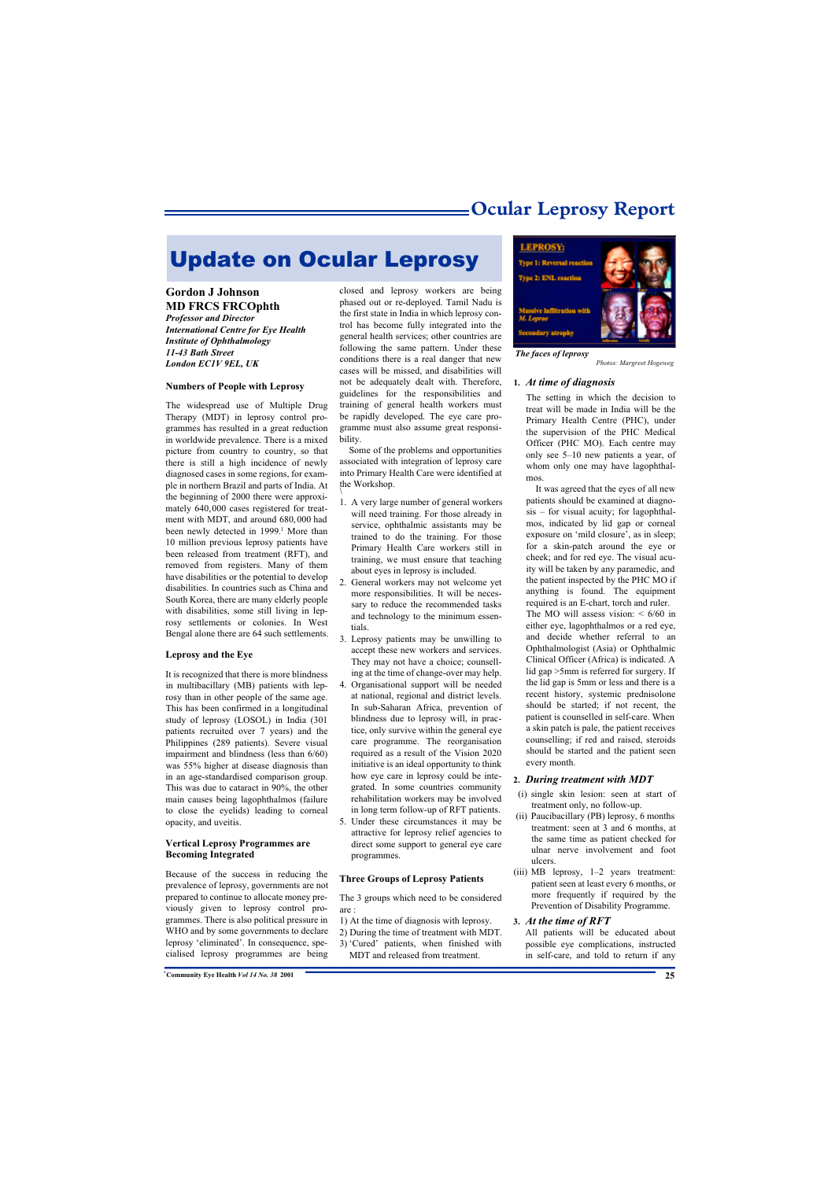### **Ocular Leprosy Report**

# Update on Ocular Leprosy

#### **Gordon J Johnson MD FRCS FRCOphth**

*Professor and Director International Centre for Eye Health Institute of Ophthalmology 11-43 Bath Street London EC1V 9EL, UK*

#### **Numbers of People with Leprosy**

The widespread use of Multiple Drug Therapy (MDT) in leprosy control programmes has resulted in a great reduction in worldwide prevalence. There is a mixed picture from country to country, so that there is still a high incidence of newly diagnosed cases in some regions, for example in northern Brazil and parts of India. At the beginning of 2000 there were approximately 640,000 cases registered for treatment with MDT, and around 680, 000 had been newly detected in 1999.<sup>1</sup> More than 10 million previous leprosy patients have been released from treatment (RFT), and removed from registers. Many of them have disabilities or the potential to develop disabilities. In countries such as China and South Korea, there are many elderly people with disabilities, some still living in leprosy settlements or colonies. In West Bengal alone there are 64 such settlements.

#### **Leprosy and the Eye**

It is recognized that there is more blindness in multibacillary (MB) patients with leprosy than in other people of the same age. This has been confirmed in a longitudinal study of leprosy (LOSOL) in India (301 patients recruited over 7 years) and the Philippines (289 patients). Severe visual impairment and blindness (less than 6/60) was 55% higher at disease diagnosis than in an age-standardised comparison group. This was due to cataract in 90%, the other main causes being lagophthalmos (failure to close the eyelids) leading to corneal opacity, and uveitis.

#### **Vertical Leprosy Programmes are Becoming Integrated**

Because of the success in reducing the prevalence of leprosy, governments are not prepared to continue to allocate money previously given to leprosy control programmes. There is also political pressure in WHO and by some governments to declare leprosy 'eliminated'. In consequence, specialised leprosy programmes are being

closed and leprosy workers are being phased out or re-deployed. Tamil Nadu is the first state in India in which leprosy control has become fully integrated into the general health services; other countries are following the same pattern. Under these conditions there is a real danger that new cases will be missed, and disabilities will not be adequately dealt with. Therefore, guidelines for the responsibilities and training of general health workers must be rapidly developed. The eye care programme must also assume great responsibility.

Some of the problems and opportunities associated with integration of leprosy care into Primary Health Care were identified at the Workshop.

- 1. A very large number of general workers will need training. For those already in service, ophthalmic assistants may be trained to do the training. For those Primary Health Care workers still in training, we must ensure that teaching about eyes in leprosy is included.
- 2. General workers may not welcome yet more responsibilities. It will be necessary to reduce the recommended tasks and technology to the minimum essentials.
- 3. Leprosy patients may be unwilling to accept these new workers and services. They may not have a choice; counselling at the time of change-over may help.
- 4. Organisational support will be needed at national, regional and district levels. In sub-Saharan Africa, prevention of blindness due to leprosy will, in practice, only survive within the general eye care programme. The reorganisation required as a result of the Vision 2020 initiative is an ideal opportunity to think how eye care in leprosy could be integrated. In some countries community rehabilitation workers may be involved in long term follow-up of RFT patients.
- 5. Under these circumstances it may be attractive for leprosy relief agencies to direct some support to general eye care programmes.

#### **Three Groups of Leprosy Patients**

The 3 groups which need to be considered are :

- 1) At the time of diagnosis with leprosy.
- 2) During the time of treatment with MDT.
- 3) 'Cured' patients, when finished with MDT and released from treatment.



*The faces of leprosy*

#### *Photos: Margreet Hogeweg*

#### **1.** *At time of diagnosis*

The setting in which the decision to treat will be made in India will be the Primary Health Centre (PHC), under the supervision of the PHC Medical Officer (PHC MO). Each centre may only see 5–10 new patients a year, of whom only one may have lagophthalmos.

It was agreed that the eyes of all new patients should be examined at diagnosis – for visual acuity; for lagophthalmos, indicated by lid gap or corneal exposure on 'mild closure', as in sleep; for a skin-patch around the eye or cheek; and for red eye. The visual acuity will be taken by any paramedic, and the patient inspected by the PHC MO if anything is found. The equipment required is an E-chart, torch and ruler. The MO will assess vision:  $\lt 6/60$  in either eye, lagophthalmos or a red eye, and decide whether referral to an Ophthalmologist (Asia) or Ophthalmic Clinical Officer (Africa) is indicated. A lid gap >5mm is referred for surgery. If the lid gap is 5mm or less and there is a recent history, systemic prednisolone should be started; if not recent, the patient is counselled in self-care. When a skin patch is pale, the patient receives counselling; if red and raised, steroids should be started and the patient seen every month.

#### **2.** *During treatment with MDT*

- (i) single skin lesion: seen at start of treatment only, no follow-up.
- (ii) Paucibacillary (PB) leprosy, 6 months treatment: seen at 3 and 6 months, at the same time as patient checked for ulnar nerve involvement and foot ulcers.
- (iii) MB leprosy, 1–2 years treatment: patient seen at least every 6 months, or more frequently if required by the Prevention of Disability Programme.

#### **3.** *At the time of RFT*

All patients will be educated about possible eye complications, instructed in self-care, and told to return if any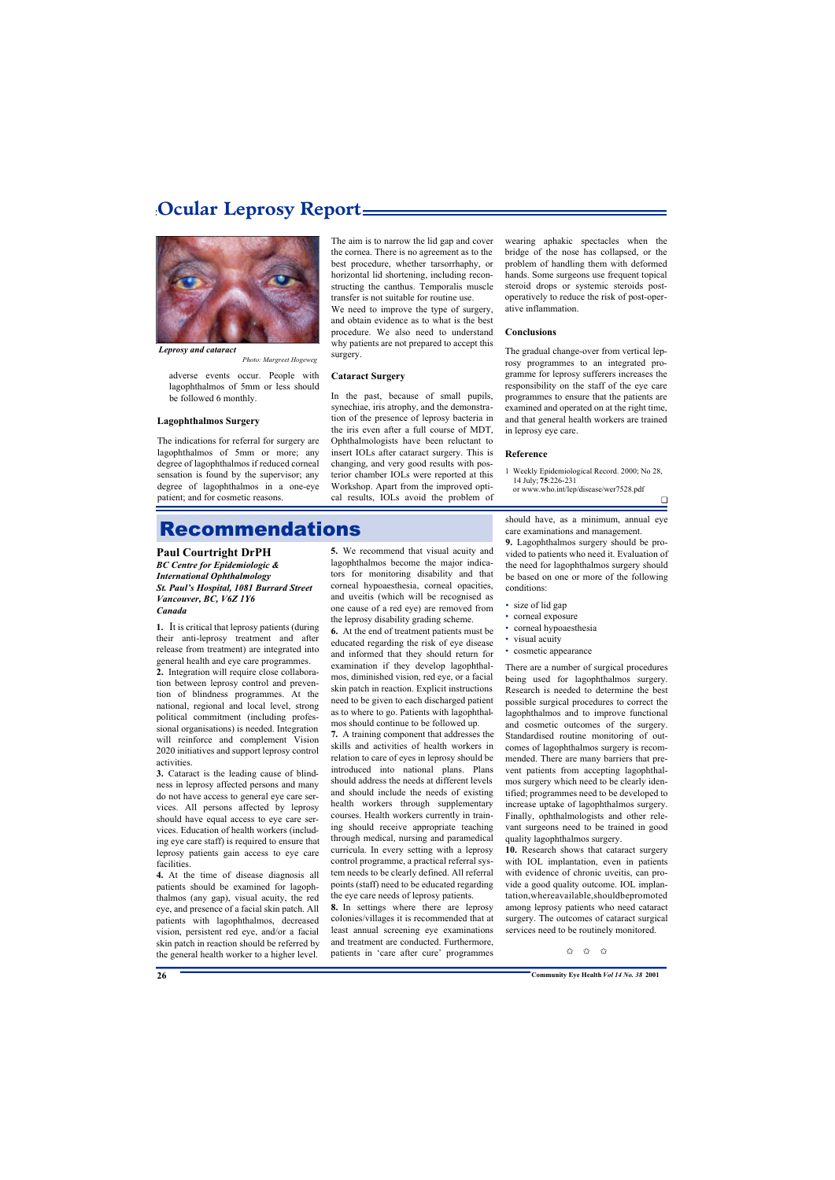### **Ocular Leprosy Report**



*Leprosy and cataract*

*Photo: Margreet Hogeweg*

adverse events occur. People with lagophthalmos of 5mm or less should be followed 6 monthly.

#### **Lagophthalmos Surgery**

The indications for referral for surgery are lagophthalmos of 5mm or more; any degree of lagophthalmos if reduced corneal sensation is found by the supervisor; any degree of lagophthalmos in a one-eye patient; and for cosmetic reasons.

The aim is to narrow the lid gap and cover the cornea. There is no agreement as to the best procedure, whether tarsorrhaphy, or horizontal lid shortening, including reconstructing the canthus. Temporalis muscle transfer is not suitable for routine use.

We need to improve the type of surgery, and obtain evidence as to what is the best procedure. We also need to understand why patients are not prepared to accept this surgery.

#### **Cataract Surgery**

In the past, because of small pupils, synechiae, iris atrophy, and the demonstration of the presence of leprosy bacteria in the iris even after a full course of MDT, Ophthalmologists have been reluctant to insert IOLs after cataract surgery. This is changing, and very good results with posterior chamber IOLs were reported at this Workshop. Apart from the improved optical results, IOLs avoid the problem of

wearing aphakic spectacles when the bridge of the nose has collapsed, or the problem of handling them with deformed hands. Some surgeons use frequent topical steroid drops or systemic steroids postoperatively to reduce the risk of post-operative inflammation.

#### **Conclusions**

The gradual change-over from vertical leprosy programmes to an integrated programme for leprosy sufferers increases the responsibility on the staff of the eye care programmes to ensure that the patients are examined and operated on at the right time, and that general health workers are trained in leprosy eye care.

#### **Reference**

- 1 Weekly Epidemiological Record. 2000; No 28, 14 July; **75**:226-231
	- or www.who.int/lep/disease/wer7528.pdf

### Recommendations

#### **Paul Courtright DrPH**

*BC Centre for Epidemiologic & International Ophthalmology St. Paul's Hospital, 1081 Burrard Street Vancouver, BC, V6Z 1Y6 Canada* 

**1.** It is critical that leprosy patients (during their anti-leprosy treatment and after release from treatment) are integrated into general health and eye care programmes.

**2.** Integration will require close collaboration between leprosy control and prevention of blindness programmes. At the national, regional and local level, strong political commitment (including professional organisations) is needed. Integration will reinforce and complement Vision 2020 initiatives and support leprosy control activities.

**3.** Cataract is the leading cause of blindness in leprosy affected persons and many do not have access to general eye care services. All persons affected by leprosy should have equal access to eye care services. Education of health workers (including eye care staff) is required to ensure that leprosy patients gain access to eye care facilities.

**4.** At the time of disease diagnosis all patients should be examined for lagophthalmos (any gap), visual acuity, the red eye, and presence of a facial skin patch. All patients with lagophthalmos, decreased vision, persistent red eye, and/or a facial skin patch in reaction should be referred by the general health worker to a higher level.

**5.** We recommend that visual acuity and lagophthalmos become the major indicators for monitoring disability and that corneal hypoaesthesia, corneal opacities, and uveitis (which will be recognised as one cause of a red eye) are removed from the leprosy disability grading scheme.

**6.** At the end of treatment patients must be educated regarding the risk of eye disease and informed that they should return for examination if they develop lagophthalmos, diminished vision, red eye, or a facial skin patch in reaction. Explicit instructions need to be given to each discharged patient as to where to go. Patients with lagophthalmos should continue to be followed up.

**7.** A training component that addresses the skills and activities of health workers in relation to care of eyes in leprosy should be introduced into national plans. Plans should address the needs at different levels and should include the needs of existing health workers through supplementary courses. Health workers currently in training should receive appropriate teaching through medical, nursing and paramedical curricula. In every setting with a leprosy control programme, a practical referral system needs to be clearly defined. All referral points (staff) need to be educated regarding the eye care needs of leprosy patients.

**8.** In settings where there are leprosy colonies/villages it is recommended that at least annual screening eye examinations and treatment are conducted. Furthermore, patients in 'care after cure' programmes

should have, as a minimum, annual eye care examinations and management.

❏

**9.** Lagophthalmos surgery should be provided to patients who need it. Evaluation of the need for lagophthalmos surgery should be based on one or more of the following conditions:

- size of lid gap
- corneal exposure
- corneal hypoaesthesia
- visual acuity
- cosmetic appearance

There are a number of surgical procedures being used for lagophthalmos surgery. Research is needed to determine the best possible surgical procedures to correct the lagophthalmos and to improve functional and cosmetic outcomes of the surgery. Standardised routine monitoring of outcomes of lagophthalmos surgery is recommended. There are many barriers that prevent patients from accepting lagophthalmos surgery which need to be clearly identified; programmes need to be developed to increase uptake of lagophthalmos surgery. Finally, ophthalmologists and other relevant surgeons need to be trained in good quality lagophthalmos surgery.

**10.** Research shows that cataract surgery with IOL implantation, even in patients with evidence of chronic uveitis, can provide a good quality outcome. IOL implantation,whereavailable,shouldbepromoted among leprosy patients who need cataract surgery. The outcomes of cataract surgical services need to be routinely monitored.

 $\stackrel{\wedge}{\bowtie}$   $\stackrel{\wedge}{\bowtie}$   $\stackrel{\wedge}{\bowtie}$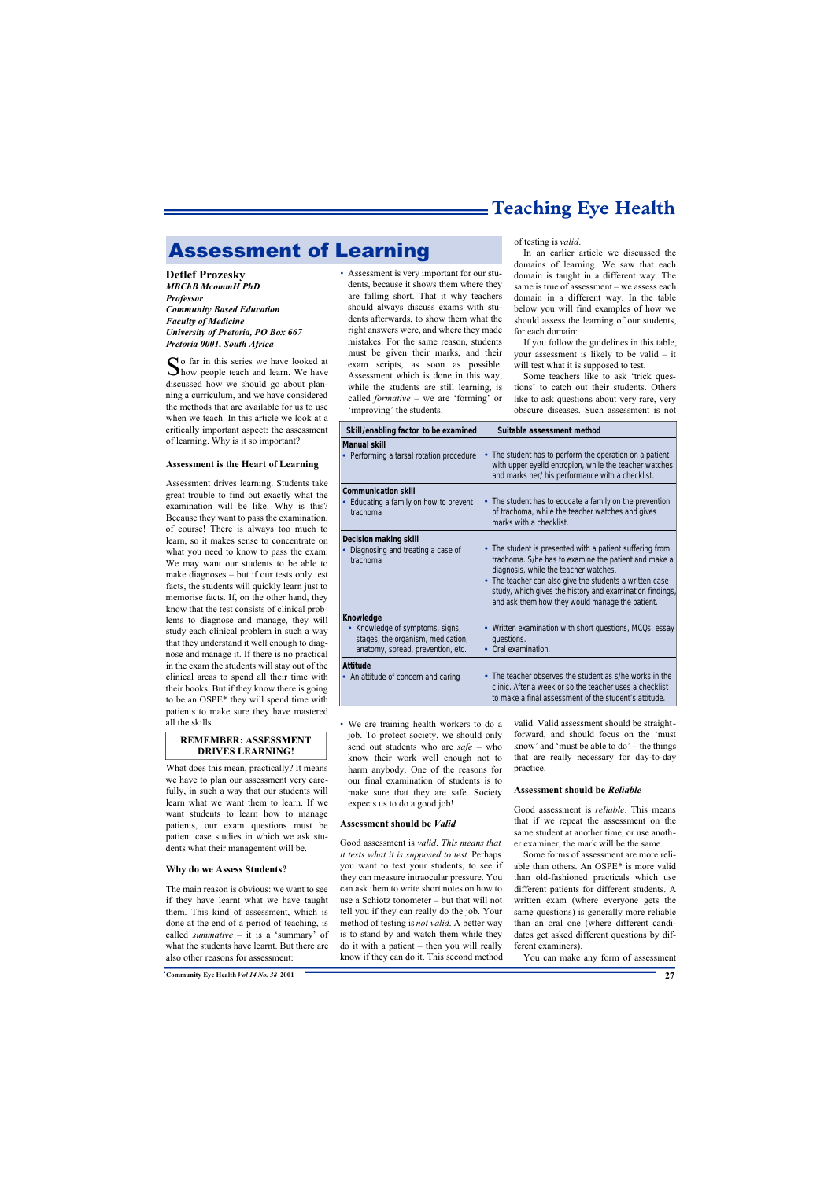# **Teaching Eye Health**

# Assessment of Learning

**Detlef Prozesky** *MBChB McommH PhD Professor Community Based Education Faculty of Medicine University of Pretoria, PO Box 667 Pretoria 0001, South Africa*

So far in this series we have looked at Mhow people teach and learn. We have how people teach and learn. We have discussed how we should go about planning a curriculum, and we have considered the methods that are available for us to use when we teach. In this article we look at a critically important aspect: the assessment of learning. Why is it so important?

#### **Assessment is the Heart of Learning**

Assessment drives learning. Students take great trouble to find out exactly what the examination will be like. Why is this? Because they want to pass the examination, of course! There is always too much to learn, so it makes sense to concentrate on what you need to know to pass the exam. We may want our students to be able to make diagnoses – but if our tests only test facts, the students will quickly learn just to memorise facts. If, on the other hand, they know that the test consists of clinical problems to diagnose and manage, they will study each clinical problem in such a way that they understand it well enough to diagnose and manage it. If there is no practical in the exam the students will stay out of the clinical areas to spend all their time with their books. But if they know there is going to be an OSPE\* they will spend time with patients to make sure they have mastered all the skills.

#### **REMEMBER: ASSESSMENT DRIVES LEARNING!**

What does this mean, practically? It means we have to plan our assessment very carefully, in such a way that our students will learn what we want them to learn. If we want students to learn how to manage patients, our exam questions must be patient case studies in which we ask students what their management will be.

#### **Why do we Assess Students?**

The main reason is obvious: we want to see if they have learnt what we have taught them. This kind of assessment, which is done at the end of a period of teaching, is called *summative* – it is a 'summary' of what the students have learnt. But there are also other reasons for assessment:

• Assessment is very important for our students, because it shows them where they are falling short. That it why teachers should always discuss exams with students afterwards, to show them what the right answers were, and where they made mistakes. For the same reason, students must be given their marks, and their exam scripts, as soon as possible. Assessment which is done in this way, while the students are still learning, is called *formative* – we are 'forming' or 'improving' the students.

of testing is *valid*.

In an earlier article we discussed the domains of learning. We saw that each domain is taught in a different way. The same is true of assessment – we assess each domain in a different way. In the table below you will find examples of how we should assess the learning of our students, for each domain:

If you follow the guidelines in this table, your assessment is likely to be valid – it will test what it is supposed to test.

Some teachers like to ask 'trick questions' to catch out their students. Others like to ask questions about very rare, very obscure diseases. Such assessment is not

| Skill/enabling factor to be examined                                                                                             | Suitable assessment method                                                                                                                                                                                                                                                                                                          |
|----------------------------------------------------------------------------------------------------------------------------------|-------------------------------------------------------------------------------------------------------------------------------------------------------------------------------------------------------------------------------------------------------------------------------------------------------------------------------------|
| <b>Manual skill</b><br>• Performing a tarsal rotation procedure                                                                  | • The student has to <i>perform</i> the operation on a patient<br>with upper eyelid entropion, while the teacher watches<br>and marks her/ his performance with a checklist.                                                                                                                                                        |
| <b>Communication skill</b><br>Educating a family on how to prevent<br>trachoma                                                   | • The student has to <i>educate</i> a family on the prevention<br>of trachoma, while the teacher watches and gives<br>marks with a checklist.                                                                                                                                                                                       |
| <b>Decision making skill</b><br>Diagnosing and treating a case of<br>trachoma                                                    | • The student is presented with a patient suffering from<br>trachoma. S/he has to examine the patient and make a<br>diagnosis, while the teacher watches.<br>• The teacher can also give the students a written case<br>study, which gives the history and examination findings,<br>and ask them how they would manage the patient. |
| <b>Knowledge</b><br>Knowledge of symptoms, signs,<br>٠<br>stages, the organism, medication,<br>anatomy, spread, prevention, etc. | Written examination with short questions, MCQs, essay<br>$\bullet$<br>questions.<br>Oral examination.<br>$\bullet$                                                                                                                                                                                                                  |
| <b>Attitude</b><br>• An attitude of concern and caring                                                                           | • The teacher <i>observes</i> the student as s/he works in the<br>clinic. After a week or so the teacher uses a <i>checklist</i><br>to make a final assessment of the student's attitude.                                                                                                                                           |

• We are training health workers to do a job. To protect society, we should only send out students who are *safe* – who know their work well enough not to harm anybody. One of the reasons for our final examination of students is to make sure that they are safe. Society expects us to do a good job!

#### **Assessment should be** *Valid*

Good assessment is *valid*. *This means that it tests what it is supposed to test*. Perhaps you want to test your students, to see if they can measure intraocular pressure. You can ask them to write short notes on how to use a Schiotz tonometer – but that will not tell you if they can really do the job. Your method of testing is *not valid*. A better way is to stand by and watch them while they do it with a patient – then you will really know if they can do it. This second method

valid. Valid assessment should be straightforward, and should focus on the 'must know' and 'must be able to do' – the things that are really necessary for day-to-day practice.

#### **Assessment should be** *Reliable*

Good assessment is *reliable*. This means that if we repeat the assessment on the same student at another time, or use another examiner, the mark will be the same.

Some forms of assessment are more reliable than others. An OSPE\* is more valid than old-fashioned practicals which use different patients for different students. A written exam (where everyone gets the same questions) is generally more reliable than an oral one (where different candidates get asked different questions by different examiners).

You can make any form of assessment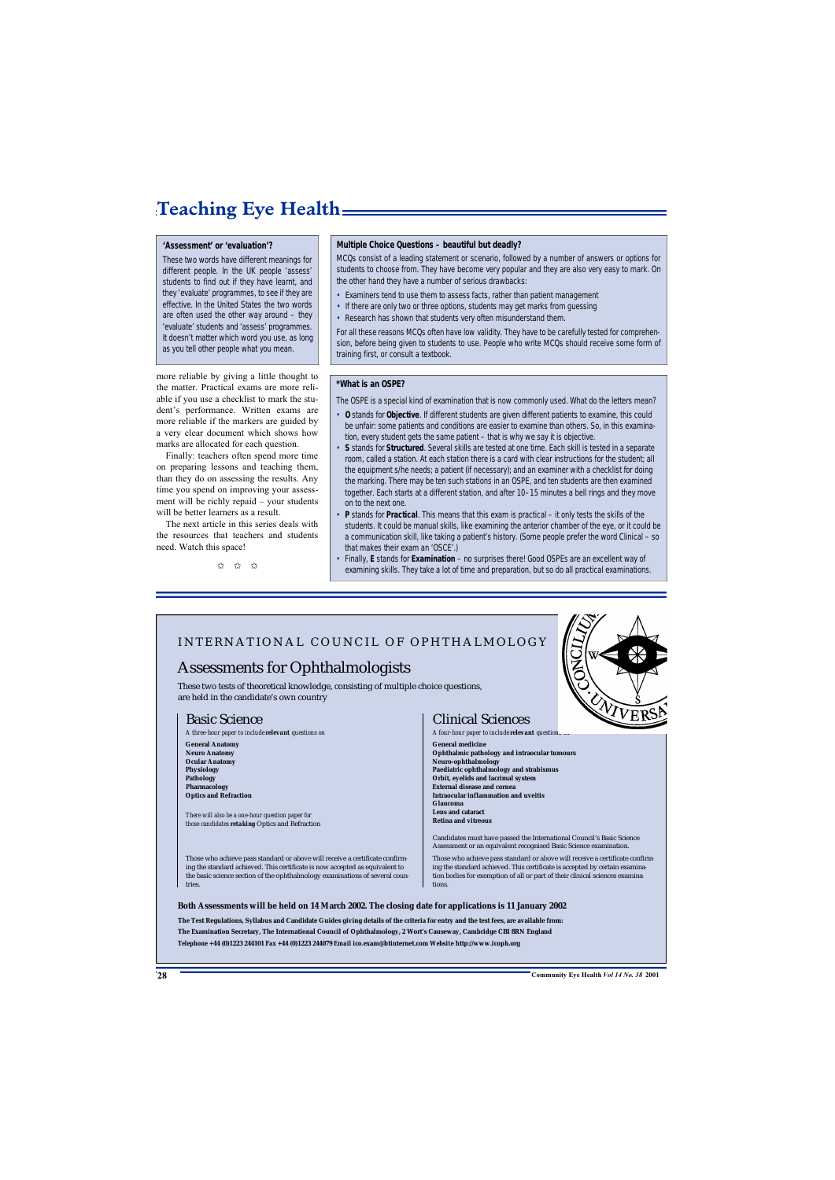# **Teaching Eye Health**

#### **'Assessment' or 'evaluation'?**

These two words have different meanings for different people. In the UK people 'assess' students to find out if they have learnt, and they 'evaluate' programmes, to see if they are effective. In the United States the two words are often used the other way around – they 'evaluate' students and 'assess' programmes. It doesn't matter which word you use, as long as you tell other people what you mean.

more reliable by giving a little thought to the matter. Practical exams are more reliable if you use a checklist to mark the student's performance. Written exams are more reliable if the markers are guided by a very clear document which shows how marks are allocated for each question.

Finally: teachers often spend more time on preparing lessons and teaching them, than they do on assessing the results. Any time you spend on improving your assessment will be richly repaid – your students will be better learners as a result.

The next article in this series deals with the resources that teachers and students need. Watch this space!

✩ ✩ ✩

#### **Multiple Choice Questions – beautiful but deadly?**

MCQs consist of a leading statement or *scenario*, followed by a number of answers or *options* for students to choose from. They have become very popular and they are also very easy to mark. On the other hand they have a number of serious drawbacks:

- Examiners tend to use them to assess facts, rather than patient management
- If there are only two or three options, students may get marks from quessing
- Research has shown that students very often misunderstand them.

For all these reasons MCQs often have low *validity*. They have to be carefully tested for comprehension, before being given to students to use. People who write MCQs should receive some form of training first, or consult a textbook.

#### **\*What is an OSPE?**

The OSPE is a special kind of examination that is now commonly used. What do the letters mean?

- **O** stands for **Objective**. If different students are given different patients to examine, this could be unfair: some patients and conditions are easier to examine than others. So, in this examination, every student gets the same patient – that is why we say it is objective.
- **S** stands for **Structured**. Several skills are tested at one time. Each skill is tested in a separate room, called a station. At each station there is a card with clear instructions for the student; all the equipment s/he needs; a patient (if necessary); and an examiner with a checklist for doing the marking. There may be ten such stations in an OSPE, and ten students are then examined together. Each starts at a different station, and after 10–15 minutes a bell rings and they move on to the next one.
- **P** stands for **Practical**. This means that this exam is practical it only tests the skills of the students. It could be manual skills, like examining the anterior chamber of the eye, or it could be a communication skill, like taking a patient's history. (Some people prefer the word Clinical – so that makes their exam an 'OSCE'.)
- Finally, **E** stands for **Examination** no surprises there! Good OSPEs are an excellent way of examining skills. They take a lot of time and preparation, but so do all practical examinations.

### INTERNATIONAL COUNCIL OF OPHTHALMOLOGY

### Assessments for Ophthalmologists

These two tests of theoretical knowledge, consisting of multiple choice questions, are held in the candidate's own country

#### Basic Science

*A three-hour paper to include relevant questions on*

**General Anatomy Neuro Anatomy Ocular Anatomy Physiology Pathology Pharmacology Optics and Refraction**

*There will also be a one-hour question paper for those candidates retaking* Optics and Refraction

Those who achieve pass standard or above will receive a certificate confirming the standard achieved. This certificate is now accepted as equivalent to the basic science section of the ophthalmology examinations of several countries.



#### Clinical Sciences

*A four-hour paper to include relevant questions on* **General medicine Ophthalmic pathology and intraocular tumours Neuro-ophthalmology Paediatric ophthalmology and strabismus Orbit, eyelids and lacrimal system External disease and cornea Intraocular inflammation and uveitis Glaucoma Lens and cataract Retina and vitreous**

Candidates must have passed the International Council's Basic Science Assessment or an equivalent recognised Basic Science examination.

Those who achieve pass standard or above will receive a certificate confirming the standard achieved. This certificate is accepted by certain examination bodies for exemption of all or part of their clinical sciences examinations.

#### **Both Assessments will be held on 14 March 2002. The closing date for applications is 11 January 2002**

**The Test Regulations, Syllabus and Candidate Guides giving details of the criteria for entry and the test fees, are available from: The Examination Secretary, The International Council of Ophthalmology, 2 Wort's Causeway, Cambridge CB1 8RN England** *Telephone* **+44 (0)1223 244101** *Fax* **+44 (0)1223 244079** *Email* **ico.exam@btinternet.com** *Website* **http://www.icoph.org**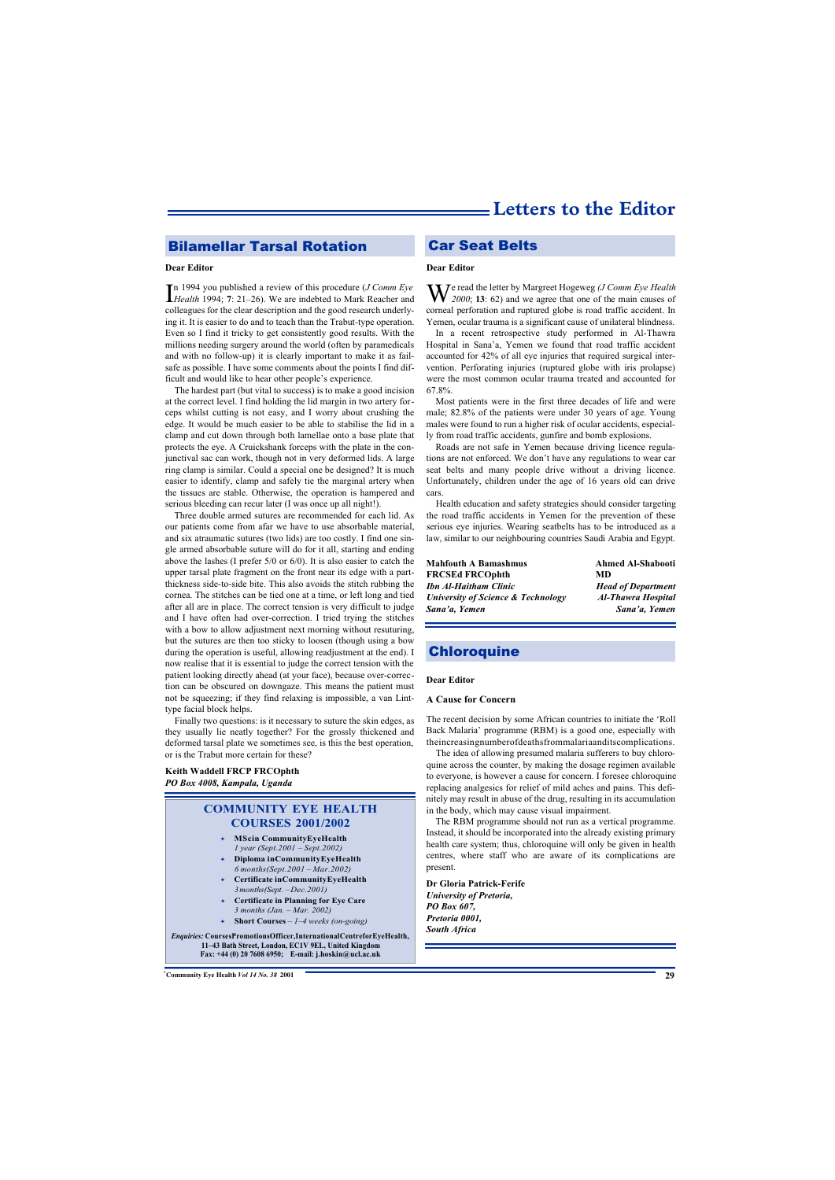### **Bilamellar Tarsal Rotation Car Seat Belts**

#### **Dear Editor**

In 1994 you published a review of this procedure (*J Comm Eye Health* 1994; 7: 21–26). We are indebted to Mark Reacher and n 1994 you published a review of this procedure (*J Comm Eye* colleagues for the clear description and the good research underlying it. It is easier to do and to teach than the Trabut-type operation. Even so I find it tricky to get consistently good results. With the millions needing surgery around the world (often by paramedicals and with no follow-up) it is clearly important to make it as failsafe as possible. I have some comments about the points I find difficult and would like to hear other people's experience.

The hardest part (but vital to success) is to make a good incision at the correct level. I find holding the lid margin in two artery forceps whilst cutting is not easy, and I worry about crushing the edge. It would be much easier to be able to stabilise the lid in a clamp and cut down through both lamellae onto a base plate that protects the eye. A Cruickshank forceps with the plate in the conjunctival sac can work, though not in very deformed lids. A large ring clamp is similar. Could a special one be designed? It is much easier to identify, clamp and safely tie the marginal artery when the tissues are stable. Otherwise, the operation is hampered and serious bleeding can recur later (I was once up all night!).

Three double armed sutures are recommended for each lid. As our patients come from afar we have to use absorbable material, and six atraumatic sutures (two lids) are too costly. I find one single armed absorbable suture will do for it all, starting and ending above the lashes (I prefer 5/0 or 6/0). It is also easier to catch the upper tarsal plate fragment on the front near its edge with a partthickness side-to-side bite. This also avoids the stitch rubbing the cornea. The stitches can be tied one at a time, or left long and tied after all are in place. The correct tension is very difficult to judge and I have often had over-correction. I tried trying the stitches with a bow to allow adjustment next morning without resuturing, but the sutures are then too sticky to loosen (though using a bow during the operation is useful, allowing readjustment at the end). I now realise that it is essential to judge the correct tension with the patient looking directly ahead (at your face), because over-correction can be obscured on downgaze. This means the patient must not be squeezing; if they find relaxing is impossible, a van Linttype facial block helps.

Finally two questions: is it necessary to suture the skin edges, as they usually lie neatly together? For the grossly thickened and deformed tarsal plate we sometimes see, is this the best operation, or is the Trabut more certain for these?

#### **Keith Waddell FRCP FRCOphth** *PO Box 4008, Kampala, Uganda*

#### **COMMUNITY EYE HEALTH COURSES 2001/2002**

- ✦ **MScin CommunityEyeHealth** *1 year (Sept.2001 – Sept.2002)*
- ✦ **Diploma inCommunityEyeHealth** *6 months(Sept.2001 – Mar.2002)*
- ✦ **Certificate inCommunityEyeHealth** *3months(Sept. –Dec.2001)*
- ✦ **Certificate in Planning for Eye Care** *3 months (Jan. – Mar. 2002)*
- ✦ **Short Courses** *1–4 weeks (on-going)*

*Enquiries:* **CoursesPromotionsOfficer,InternationalCentreforEyeHealth, 11–43 Bath Street, London, EC1V 9EL, United Kingdom Fax: +44 (0) 20 7608 6950; E-mail: j.hoskin@ucl.ac.uk**

#### **Dear Editor**

W<sup>e</sup> read the letter by Margreet Hogeweg *(J Comm Eye Health 2000*; **13**: 62) and we agree that one of the main causes of corneal perforation and ruptured globe is road traffic accident. In Yemen, ocular trauma is a significant cause of unilateral blindness.

In a recent retrospective study performed in Al-Thawra Hospital in Sana'a, Yemen we found that road traffic accident accounted for 42% of all eye injuries that required surgical intervention. Perforating injuries (ruptured globe with iris prolapse) were the most common ocular trauma treated and accounted for 67.8%.

Most patients were in the first three decades of life and were male; 82.8% of the patients were under 30 years of age. Young males were found to run a higher risk of ocular accidents, especially from road traffic accidents, gunfire and bomb explosions.

Roads are not safe in Yemen because driving licence regulations are not enforced. We don't have any regulations to wear car seat belts and many people drive without a driving licence. Unfortunately, children under the age of 16 years old can drive cars.

Health education and safety strategies should consider targeting the road traffic accidents in Yemen for the prevention of these serious eye injuries. Wearing seatbelts has to be introduced as a law, similar to our neighbouring countries Saudi Arabia and Egypt.

| <b>Mahfouth A Bamashmus</b>        | <b>Ahmed Al-Shabooti</b>  |
|------------------------------------|---------------------------|
| <b>FRCSEd FRCOphth</b>             | MD                        |
| <b>Ibn Al-Haitham Clinic</b>       | <b>Head of Department</b> |
| University of Science & Technology | <b>Al-Thawra Hospital</b> |
| Sana'a, Yemen                      | Sana'a, Yemen             |

### **Chloroquine**

#### **Dear Editor**

#### **A Cause for Concern**

The recent decision by some African countries to initiate the 'Roll Back Malaria' programme (RBM) is a good one, especially with theincreasingnumberofdeathsfrommalariaanditscomplications.

The idea of allowing presumed malaria sufferers to buy chloroquine across the counter, by making the dosage regimen available to everyone, is however a cause for concern. I foresee chloroquine replacing analgesics for relief of mild aches and pains. This definitely may result in abuse of the drug, resulting in its accumulation in the body, which may cause visual impairment.

The RBM programme should not run as a vertical programme. Instead, it should be incorporated into the already existing primary health care system; thus, chloroquine will only be given in health centres, where staff who are aware of its complications are present.

#### **Dr Gloria Patrick-Ferife**

*University of Pretoria, PO Box 607, Pretoria 0001, South Africa*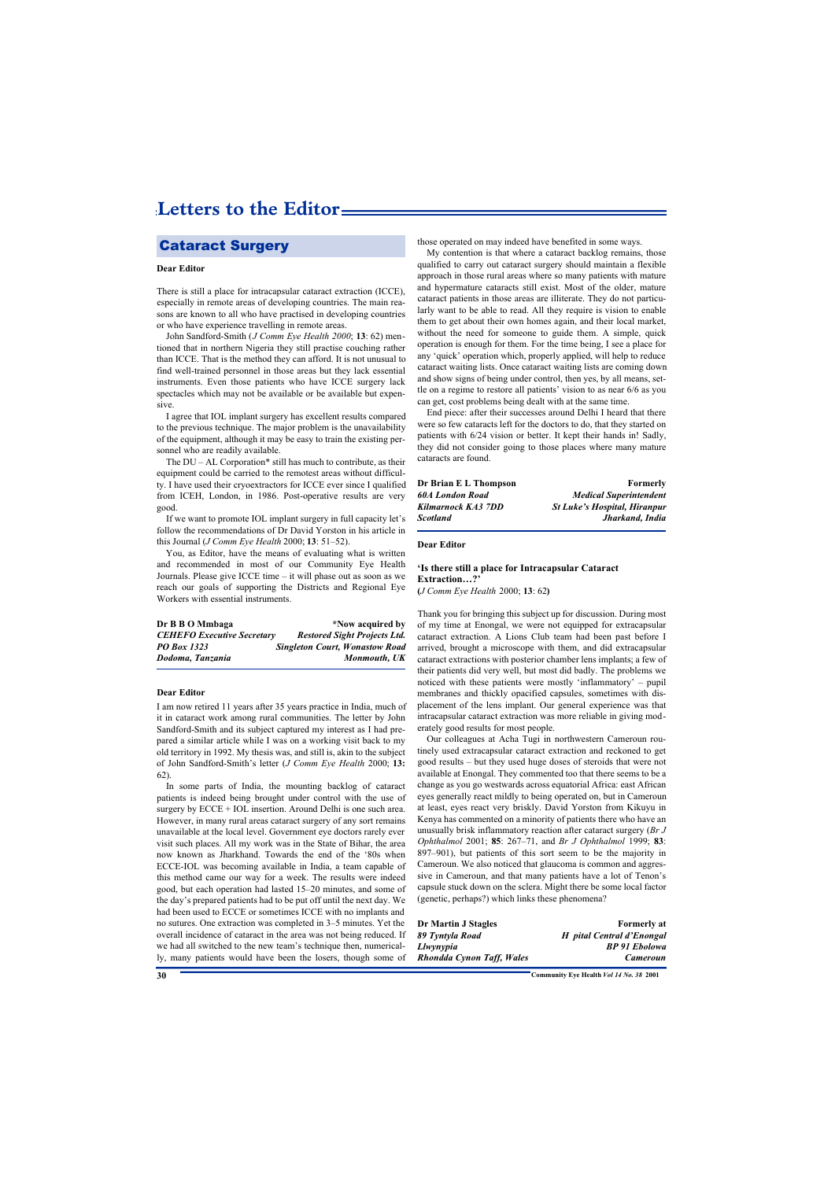# **Letters to the Editor**

### Cataract Surgery

#### **Dear Editor**

There is still a place for intracapsular cataract extraction (ICCE), especially in remote areas of developing countries. The main reasons are known to all who have practised in developing countries or who have experience travelling in remote areas.

John Sandford-Smith (*J Comm Eye Health 2000*; **13**: 62) mentioned that in northern Nigeria they still practise couching rather than ICCE. That is the method they can afford. It is not unusual to find well-trained personnel in those areas but they lack essential instruments. Even those patients who have ICCE surgery lack spectacles which may not be available or be available but expensive.

I agree that IOL implant surgery has excellent results compared to the previous technique. The major problem is the unavailability of the equipment, although it may be easy to train the existing personnel who are readily available.

The DU – AL Corporation\* still has much to contribute, as their equipment could be carried to the remotest areas without difficulty. I have used their cryoextractors for ICCE ever since I qualified from ICEH, London, in 1986. Post-operative results are very good.

If we want to promote IOL implant surgery in full capacity let's follow the recommendations of Dr David Yorston in his article in this Journal (*J Comm Eye Health* 2000; **13**: 51–52).

You, as Editor, have the means of evaluating what is written and recommended in most of our Community Eye Health Journals. Please give ICCE time – it will phase out as soon as we reach our goals of supporting the Districts and Regional Eye Workers with essential instruments.

| Dr B B O Mmbaga                   | *Now acquired by                      |
|-----------------------------------|---------------------------------------|
| <b>CEHEFO</b> Executive Secretary | <b>Restored Sight Projects Ltd.</b>   |
| <b>PO</b> Box 1323                | <b>Singleton Court, Wonastow Road</b> |
| Dodoma, Tanzania                  | Monmouth, UK                          |

#### **Dear Editor**

I am now retired 11 years after 35 years practice in India, much of it in cataract work among rural communities. The letter by John Sandford-Smith and its subject captured my interest as I had prepared a similar article while I was on a working visit back to my old territory in 1992. My thesis was, and still is, akin to the subject of John Sandford-Smith's letter (*J Comm Eye Health* 2000; **13:** 62).

In some parts of India, the mounting backlog of cataract patients is indeed being brought under control with the use of surgery by ECCE + IOL insertion. Around Delhi is one such area. However, in many rural areas cataract surgery of any sort remains unavailable at the local level. Government eye doctors rarely ever visit such places. All my work was in the State of Bihar, the area now known as Jharkhand. Towards the end of the '80s when ECCE-IOL was becoming available in India, a team capable of this method came our way for a week. The results were indeed good, but each operation had lasted 15–20 minutes, and some of the day's prepared patients had to be put off until the next day. We had been used to ECCE or sometimes ICCE with no implants and no sutures. One extraction was completed in 3–5 minutes. Yet the overall incidence of cataract in the area was not being reduced. If we had all switched to the new team's technique then, numerically, many patients would have been the losers, though some of those operated on may indeed have benefited in some ways.

My contention is that where a cataract backlog remains, those qualified to carry out cataract surgery should maintain a flexible approach in those rural areas where so many patients with mature and hypermature cataracts still exist. Most of the older, mature cataract patients in those areas are illiterate. They do not particularly want to be able to read. All they require is vision to enable them to get about their own homes again, and their local market, without the need for someone to guide them. A simple, quick operation is enough for them. For the time being, I see a place for any 'quick' operation which, properly applied, will help to reduce cataract waiting lists. Once cataract waiting lists are coming down and show signs of being under control, then yes, by all means, settle on a regime to restore all patients' vision to as near 6/6 as you can get, cost problems being dealt with at the same time.

End piece: after their successes around Delhi I heard that there were so few cataracts left for the doctors to do, that they started on patients with 6/24 vision or better. It kept their hands in! Sadly, they did not consider going to those places where many mature cataracts are found.

| Dr Brian E L Thompson  | <b>Formerly</b>                     |
|------------------------|-------------------------------------|
| <b>60A London Road</b> | <b>Medical Superintendent</b>       |
| Kilmarnock KA3 7DD     | <b>St Luke's Hospital, Hiranpur</b> |
| Scotland               | Jharkand, India                     |
|                        |                                     |

#### **Dear Editor**

#### **'Is there still a place for Intracapsular Cataract Extraction…?'**

**(***J Comm Eye Health* 2000; **13**: 62**)**

Thank you for bringing this subject up for discussion. During most of my time at Enongal, we were not equipped for extracapsular cataract extraction. A Lions Club team had been past before I arrived, brought a microscope with them, and did extracapsular cataract extractions with posterior chamber lens implants; a few of their patients did very well, but most did badly. The problems we noticed with these patients were mostly 'inflammatory' – pupil membranes and thickly opacified capsules, sometimes with displacement of the lens implant. Our general experience was that intracapsular cataract extraction was more reliable in giving moderately good results for most people.

Our colleagues at Acha Tugi in northwestern Cameroun routinely used extracapsular cataract extraction and reckoned to get good results – but they used huge doses of steroids that were not available at Enongal. They commented too that there seems to be a change as you go westwards across equatorial Africa: east African eyes generally react mildly to being operated on, but in Cameroun at least, eyes react very briskly. David Yorston from Kikuyu in Kenya has commented on a minority of patients there who have an unusually brisk inflammatory reaction after cataract surgery (*Br J Ophthalmol* 2001; **85**: 267–71, and *Br J Ophthalmol* 1999; **83**: 897–901), but patients of this sort seem to be the majority in Cameroun. We also noticed that glaucoma is common and aggressive in Cameroun, and that many patients have a lot of Tenon's capsule stuck down on the sclera. Might there be some local factor (genetic, perhaps?) which links these phenomena?

**Dr Martin J Stagles Formerly at** *89 Tyntyla Road Hôpital Central d'Enongal Llwynypia BP 91 Ebolowa Rhondda Cynon Taff, Wales Cameroun*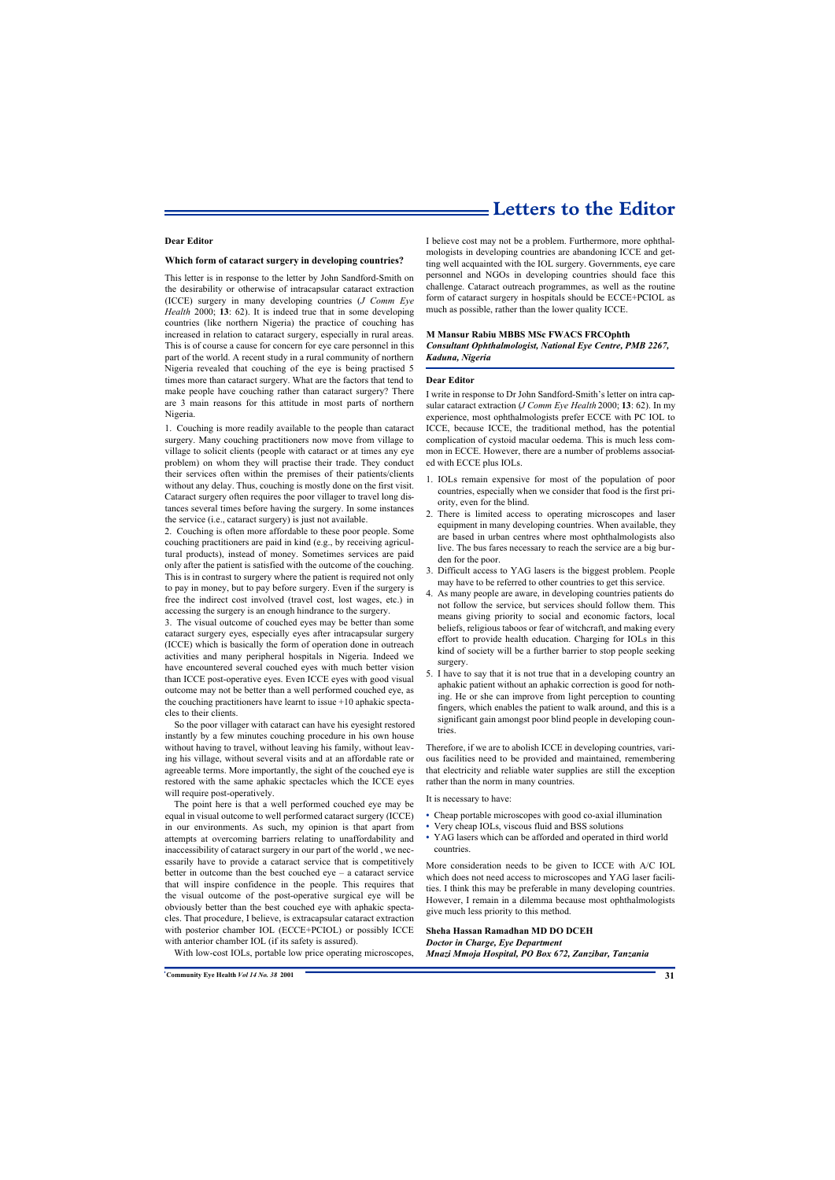### **Letters to the Editor**

#### **Dear Editor**

#### **Which form of cataract surgery in developing countries?**

This letter is in response to the letter by John Sandford-Smith on the desirability or otherwise of intracapsular cataract extraction (ICCE) surgery in many developing countries (*J Comm Eye Health* 2000; **13**: 62). It is indeed true that in some developing countries (like northern Nigeria) the practice of couching has increased in relation to cataract surgery, especially in rural areas. This is of course a cause for concern for eye care personnel in this part of the world. A recent study in a rural community of northern Nigeria revealed that couching of the eye is being practised 5 times more than cataract surgery. What are the factors that tend to make people have couching rather than cataract surgery? There are 3 main reasons for this attitude in most parts of northern Nigeria.

1. Couching is more readily available to the people than cataract surgery. Many couching practitioners now move from village to village to solicit clients (people with cataract or at times any eye problem) on whom they will practise their trade. They conduct their services often within the premises of their patients/clients without any delay. Thus, couching is mostly done on the first visit. Cataract surgery often requires the poor villager to travel long distances several times before having the surgery. In some instances the service (i.e., cataract surgery) is just not available.

2. Couching is often more affordable to these poor people. Some couching practitioners are paid in kind (e.g., by receiving agricultural products), instead of money. Sometimes services are paid only after the patient is satisfied with the outcome of the couching. This is in contrast to surgery where the patient is required not only to pay in money, but to pay before surgery. Even if the surgery is free the indirect cost involved (travel cost, lost wages, etc.) in accessing the surgery is an enough hindrance to the surgery.

3. The visual outcome of couched eyes may be better than some cataract surgery eyes, especially eyes after intracapsular surgery (ICCE) which is basically the form of operation done in outreach activities and many peripheral hospitals in Nigeria. Indeed we have encountered several couched eyes with much better vision than ICCE post-operative eyes. Even ICCE eyes with good visual outcome may not be better than a well performed couched eye, as the couching practitioners have learnt to issue +10 aphakic spectacles to their clients.

So the poor villager with cataract can have his eyesight restored instantly by a few minutes couching procedure in his own house without having to travel, without leaving his family, without leaving his village, without several visits and at an affordable rate or agreeable terms. More importantly, the sight of the couched eye is restored with the same aphakic spectacles which the ICCE eyes will require post-operatively.

The point here is that a well performed couched eye may be equal in visual outcome to well performed cataract surgery (ICCE) in our environments. As such, my opinion is that apart from attempts at overcoming barriers relating to unaffordability and inaccessibility of cataract surgery in our part of the world , we necessarily have to provide a cataract service that is competitively better in outcome than the best couched eye – a cataract service that will inspire confidence in the people. This requires that the visual outcome of the post-operative surgical eye will be obviously better than the best couched eye with aphakic spectacles. That procedure, I believe, is extracapsular cataract extraction with posterior chamber IOL (ECCE+PCIOL) or possibly ICCE with anterior chamber IOL (if its safety is assured).

I believe cost may not be a problem. Furthermore, more ophthalmologists in developing countries are abandoning ICCE and getting well acquainted with the IOL surgery. Governments, eye care personnel and NGOs in developing countries should face this challenge. Cataract outreach programmes, as well as the routine form of cataract surgery in hospitals should be ECCE+PCIOL as much as possible, rather than the lower quality ICCE.

#### **M Mansur Rabiu MBBS MSc FWACS FRCOphth**  *Consultant Ophthalmologist, National Eye Centre, PMB 2267, Kaduna, Nigeria*

#### **Dear Editor**

I write in response to Dr John Sandford-Smith's letter on intra capsular cataract extraction (*J Comm Eye Health* 2000; **13**: 62). In my experience, most ophthalmologists prefer ECCE with PC IOL to ICCE, because ICCE, the traditional method, has the potential complication of cystoid macular oedema. This is much less common in ECCE. However, there are a number of problems associated with ECCE plus IOLs.

- 1. IOLs remain expensive for most of the population of poor countries, especially when we consider that food is the first priority, even for the blind.
- 2. There is limited access to operating microscopes and laser equipment in many developing countries. When available, they are based in urban centres where most ophthalmologists also live. The bus fares necessary to reach the service are a big burden for the poor.
- 3. Difficult access to YAG lasers is the biggest problem. People may have to be referred to other countries to get this service.
- 4. As many people are aware, in developing countries patients do not follow the service, but services should follow them. This means giving priority to social and economic factors, local beliefs, religious taboos or fear of witchcraft, and making every effort to provide health education. Charging for IOLs in this kind of society will be a further barrier to stop people seeking surgery.
- 5. I have to say that it is not true that in a developing country an aphakic patient without an aphakic correction is good for nothing. He or she can improve from light perception to counting fingers, which enables the patient to walk around, and this is a significant gain amongst poor blind people in developing countries.

Therefore, if we are to abolish ICCE in developing countries, various facilities need to be provided and maintained, remembering that electricity and reliable water supplies are still the exception rather than the norm in many countries.

It is necessary to have:

- **•** Cheap portable microscopes with good co-axial illumination
- **•** Very cheap IOLs, viscous fluid and BSS solutions
- **•** YAG lasers which can be afforded and operated in third world countries.

More consideration needs to be given to ICCE with A/C IOL which does not need access to microscopes and YAG laser facilities. I think this may be preferable in many developing countries. However, I remain in a dilemma because most ophthalmologists give much less priority to this method.

#### **Sheha Hassan Ramadhan MD DO DCEH**

*Doctor in Charge, Eye Department Mnazi Mmoja Hospital, PO Box 672, Zanzibar, Tanzania*

With low-cost IOLs, portable low price operating microscopes,